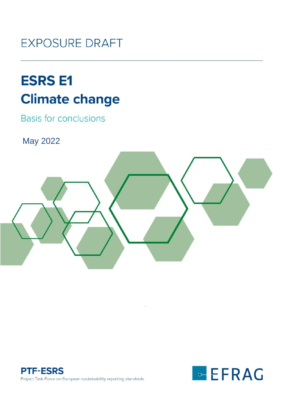# **EXPOSURE DRAFT**

# **ESRS E1 Climate change**

**Basis for conclusions** 

May 2022





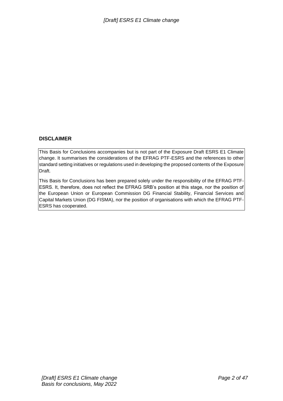#### **DISCLAIMER**

This Basis for Conclusions accompanies but is not part of the Exposure Draft ESRS E1 Climate change. It summarises the considerations of the EFRAG PTF-ESRS and the references to other standard setting initiatives or regulations used in developing the proposed contents of the Exposure Draft.

This Basis for Conclusions has been prepared solely under the responsibility of the EFRAG PTF-ESRS. It, therefore, does not reflect the EFRAG SRB's position at this stage, nor the position of the European Union or European Commission DG Financial Stability, Financial Services and Capital Markets Union (DG FISMA), nor the position of organisations with which the EFRAG PTF-ESRS has cooperated.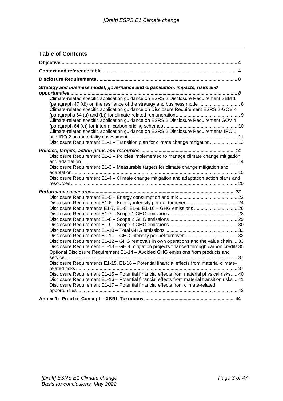#### **Table of Contents**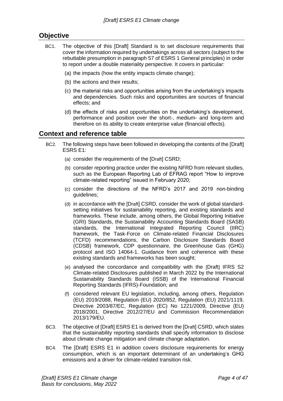# <span id="page-3-0"></span>**Objective**

- BC1. The objective of this [Draft] Standard is to set disclosure requirements that cover the information required by undertakings across all sectors (subject to the rebuttable presumption in paragraph 57 of ESRS 1 General principles) in order to report under a double materiality perspective. It covers in particular:
	- (a) the impacts (how the entity impacts climate change);
	- (b) the actions and their results;
	- (c) the material risks and opportunities arising from the undertaking's impacts and dependencies. Such risks and opportunities are sources of financial effects; and
	- (d) the effects of risks and opportunities on the undertaking's development, performance and position over the short-, medium- and long-term and therefore on its ability to create enterprise value (financial effects).

## <span id="page-3-1"></span>**Context and reference table**

- BC2. The following steps have been followed in developing the contents of the [Draft] ESRS E1:
	- (a) consider the requirements of the [Draft] CSRD;
	- (b) consider reporting practice under the existing NFRD from relevant studies, such as the European Reporting Lab of EFRAG report "How to improve climate-related reporting" issued in February 2020;
	- (c) consider the directions of the NFRD's 2017 and 2019 non-binding guidelines;
	- (d) in accordance with the [Draft] CSRD, consider the work of global standardsetting initiatives for sustainability reporting, and existing standards and frameworks. These include, among others, the Global Reporting Initiative (GRI) Standards, the Sustainability Accounting Standards Board (SASB) standards, the International Integrated Reporting Council (IIRC) framework, the Task-Force on Climate-related Financial Disclosures (TCFD) recommendations, the Carbon Disclosure Standards Board (CDSB) framework, CDP questionnaire, the Greenhouse Gas (GHG) protocol and ISO 14064-1. Guidance from and coherence with these existing standards and frameworks has been sought;
	- (e) analysed the concordance and compatibility with the [Draft] IFRS S2 Climate-related Disclosures published in March 2022 by the International Sustainability Standards Board (ISSB) of the International Financial Reporting Standards (IFRS)-Foundation; and
	- (f) considered relevant EU legislation, including, among others, Regulation (EU) 2019/2088, Regulation (EU) 2020/852, Regulation (EU) 2021/1119, Directive 2003/87/EC, Regulation (EC) No 1221/2009, Directive (EU) 2018/2001, Directive 2012/27/EU and Commission Recommendation 2013/179/EU.
- BC3. The objective of [Draft] ESRS E1 is derived from the [Draft] CSRD, which states that the sustainability reporting standards shall specify information to disclose about climate change mitigation and climate change adaptation.
- BC4. The [Draft] ESRS E1 in addition covers disclosure requirements for energy consumption, which is an important determinant of an undertaking's GHG emissions and a driver for climate-related transition risk.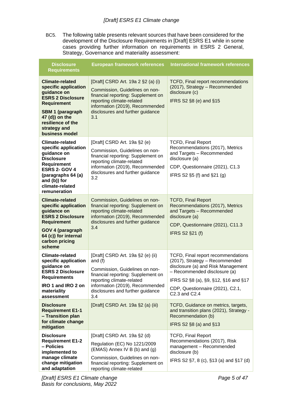BC5. The following table presents relevant sources that have been considered for the development of the Disclosure Requirements in [Draft] ESRS E1 while in some cases providing further information on requirements in ESRS 2 General, Strategy, Governance and materiality assessment:

| <b>Disclosure</b><br><b>Requirements</b>                                                                                                                                                                            | <b>European framework references</b>                                                                                                                                                                                            | <b>International framework references</b>                                                                                                                                                                                               |
|---------------------------------------------------------------------------------------------------------------------------------------------------------------------------------------------------------------------|---------------------------------------------------------------------------------------------------------------------------------------------------------------------------------------------------------------------------------|-----------------------------------------------------------------------------------------------------------------------------------------------------------------------------------------------------------------------------------------|
| <b>Climate-related</b><br>specific application<br>guidance on<br><b>ESRS 2 Disclosure</b><br><b>Requirement</b><br><b>SBM 1 (paragraph</b><br>47 (d)) on the<br>resilience of the<br>strategy and<br>business model | [Draft] CSRD Art. 19a 2 §2 (a) (i)<br>Commission, Guidelines on non-<br>financial reporting: Supplement on<br>reporting climate-related<br>information (2019), Recommended<br>disclosures and further guidance<br>3.1           | TCFD, Final report recommendations<br>(2017), Strategy - Recommended<br>disclosure (c)<br>IFRS S2 §8 (e) and §15                                                                                                                        |
| <b>Climate-related</b><br>specific application<br>guidance on<br><b>Disclosure</b><br><b>Requirement</b><br><b>ESRS 2- GOV 4</b><br>(paragraphs 64 (a)<br>and (b)) for<br>climate-related<br>remuneration           | [Draft] CSRD Art. 19a §2 (e)<br>Commission, Guidelines on non-<br>financial reporting: Supplement on<br>reporting climate-related<br>information (2019), Recommended<br>disclosures and further guidance<br>3.2                 | <b>TCFD, Final Report</b><br>Recommendations (2017), Metrics<br>and Targets - Recommended<br>disclosure (a)<br>CDP, Questionnaire (2021), C1.3<br>IFRS S2 §5 (f) and §21 (g)                                                            |
| <b>Climate-related</b><br>specific application<br>guidance on<br><b>ESRS 2 Disclosure</b><br><b>Requirement</b><br>GOV 4 (paragraph<br>64 (c)) for internal<br>carbon pricing<br>scheme                             | Commission, Guidelines on non-<br>financial reporting: Supplement on<br>reporting climate-related<br>information (2019), Recommended<br>disclosures and further guidance<br>3.4                                                 | <b>TCFD, Final Report</b><br>Recommendations (2017), Metrics<br>and Targets - Recommended<br>disclosure (a)<br>CDP, Questionnaire (2021), C11.3<br>IFRS S2 §21 (f)                                                                      |
| <b>Climate-related</b><br>specific application<br>guidance on<br><b>ESRS 2 Disclosure</b><br><b>Requirements</b><br>IRO 1 and IRO 2 on<br>materiality<br>assessment                                                 | [Draft] CSRD Art. 19a §2 (e) (ii)<br>and (f)<br>Commission, Guidelines on non-<br>financial reporting: Supplement on<br>reporting climate-related<br>information (2019), Recommended<br>disclosures and further guidance<br>3.4 | TCFD, Final report recommendations<br>(2017), Strategy - Recommended<br>disclosure (a) and Risk Management<br>- Recommended disclosure (a)<br>IFRS S2 §8 (a), §9, §12, §16 and §17<br>CDP, Questionnaire (2021), C2.1,<br>C2.3 and C2.4 |
| <b>Disclosure</b><br><b>Requirement E1-1</b><br>- Transition plan<br>for climate change<br>mitigation                                                                                                               | [Draft] CSRD Art. 19a §2 (a) (iii)                                                                                                                                                                                              | TCFD, Guidance on metrics, targets,<br>and transition plans (2021), Strategy -<br>Recommendation (b)<br>IFRS S2 §8 (a) and §13                                                                                                          |
| <b>Disclosure</b><br><b>Requirement E1-2</b><br>- Policies<br>implemented to<br>manage climate<br>change mitigation<br>and adaptation                                                                               | [Draft] CSRD Art. 19a §2 (d)<br>Regulation (EC) No 1221/2009<br>(EMAS) Annex IV B (b) and (g)<br>Commission, Guidelines on non-<br>financial reporting: Supplement on<br>reporting climate-related                              | <b>TCFD, Final Report</b><br>Recommendations (2017), Risk<br>management - Recommended<br>disclosure (b)<br>IFRS S2 §7, 8 (c), §13 (a) and §17 (d)                                                                                       |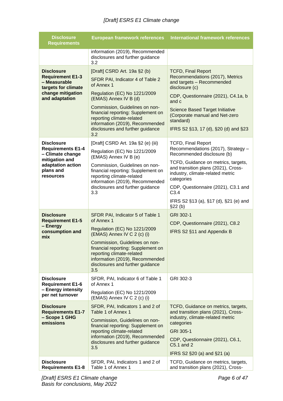| <b>Disclosure</b><br><b>Requirements</b>                                                                                           | <b>European framework references</b>                                                                                                                                                                                                                                                                                       | <b>International framework references</b>                                                                                                                                                                                                                                                                                        |
|------------------------------------------------------------------------------------------------------------------------------------|----------------------------------------------------------------------------------------------------------------------------------------------------------------------------------------------------------------------------------------------------------------------------------------------------------------------------|----------------------------------------------------------------------------------------------------------------------------------------------------------------------------------------------------------------------------------------------------------------------------------------------------------------------------------|
|                                                                                                                                    | information (2019), Recommended<br>disclosures and further guidance<br>3.2                                                                                                                                                                                                                                                 |                                                                                                                                                                                                                                                                                                                                  |
| <b>Disclosure</b><br><b>Requirement E1-3</b><br>- Measurable<br>targets for climate<br>change mitigation<br>and adaptation         | [Draft] CSRD Art. 19a §2 (b)<br>SFDR PAI, Indicator 4 of Table 2<br>of Annex 1<br>Regulation (EC) No 1221/2009<br>(EMAS) Annex IV B (d)<br>Commission, Guidelines on non-<br>financial reporting: Supplement on<br>reporting climate-related<br>information (2019), Recommended<br>disclosures and further guidance<br>3.2 | <b>TCFD, Final Report</b><br>Recommendations (2017), Metrics<br>and targets - Recommended<br>disclosure (c)<br>CDP, Questionnaire (2021), C4.1a, b<br>and c<br><b>Science Based Target Initiative</b><br>(Corporate manual and Net-zero<br>standard)<br>IFRS S2 §13, 17 (d), §20 (d) and §23                                     |
| <b>Disclosure</b><br><b>Requirements E1-4</b><br>- Climate change<br>mitigation and<br>adaptation action<br>plans and<br>resources | [Draft] CSRD Art. 19a §2 (e) (iii)<br>Regulation (EC) No 1221/2009<br>(EMAS) Annex IV B (e)<br>Commission, Guidelines on non-<br>financial reporting: Supplement on<br>reporting climate-related<br>information (2019), Recommended<br>disclosures and further guidance<br>3.3                                             | <b>TCFD, Final Report</b><br>Recommendations (2017), Strategy -<br>Recommended disclosure (b)<br>TCFD, Guidance on metrics, targets,<br>and transition plans (2021), Cross-<br>industry, climate-related metric<br>categories<br>CDP, Questionnaire (2021), C3.1 and<br>C3.4<br>IFRS S2 §13 (a), §17 (d), §21 (e) and<br>\$22(b) |
| <b>Disclosure</b><br><b>Requirement E1-5</b><br>- Energy<br>consumption and<br>mix                                                 | SFDR PAI, Indicator 5 of Table 1<br>of Annex 1<br>Regulation (EC) No 1221/2009<br>(EMAS) Annex IV C 2 (c) (i)<br>Commission, Guidelines on non-<br>financial reporting: Supplement on<br>reporting climate-related<br>information (2019), Recommended<br>disclosures and further guidance<br>3.5                           | GRI 302-1<br>CDP, Questionnaire (2021), C8.2<br>IFRS S2 §11 and Appendix B                                                                                                                                                                                                                                                       |
| <b>Disclosure</b><br><b>Requirement E1-6</b><br>- Energy intensity<br>per net turnover                                             | SFDR, PAI, Indicator 6 of Table 1<br>of Annex 1<br>Regulation (EC) No 1221/2009<br>(EMAS) Annex IV C 2 (c) (i)                                                                                                                                                                                                             | GRI 302-3                                                                                                                                                                                                                                                                                                                        |
| <b>Disclosure</b><br><b>Requirements E1-7</b><br>- Scope 1 GHG<br>emissions                                                        | SFDR, PAI, Indicators 1 and 2 of<br>Table 1 of Annex 1<br>Commission, Guidelines on non-<br>financial reporting: Supplement on<br>reporting climate-related<br>information (2019), Recommended<br>disclosures and further guidance<br>3.5                                                                                  | TCFD, Guidance on metrics, targets,<br>and transition plans (2021), Cross-<br>industry, climate-related metric<br>categories<br>GRI 305-1<br>CDP, Questionnaire (2021), C6.1,<br>C5.1 and 2<br>IFRS S2 §20 (a) and §21 (a)                                                                                                       |
| <b>Disclosure</b><br><b>Requirements E1-8</b>                                                                                      | SFDR, PAI, Indicators 1 and 2 of<br>Table 1 of Annex 1                                                                                                                                                                                                                                                                     | TCFD, Guidance on metrics, targets,<br>and transition plans (2021), Cross-                                                                                                                                                                                                                                                       |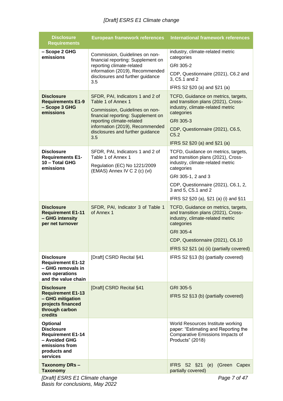| <b>Disclosure</b><br><b>Requirements</b>                                                                                        | <b>European framework references</b>                                                                                                                                                                                                      | <b>International framework references</b>                                                                                                                                                                                                                |
|---------------------------------------------------------------------------------------------------------------------------------|-------------------------------------------------------------------------------------------------------------------------------------------------------------------------------------------------------------------------------------------|----------------------------------------------------------------------------------------------------------------------------------------------------------------------------------------------------------------------------------------------------------|
| - Scope 2 GHG<br>emissions                                                                                                      | Commission, Guidelines on non-<br>financial reporting: Supplement on<br>reporting climate-related<br>information (2019), Recommended<br>disclosures and further guidance<br>3.5                                                           | industry, climate-related metric<br>categories<br>GRI 305-2<br>CDP, Questionnaire (2021), C6.2 and<br>3. C5.1 and 2<br>IFRS S2 §20 (a) and §21 (a)                                                                                                       |
| <b>Disclosure</b><br><b>Requirements E1-9</b><br>- Scope 3 GHG<br>emissions                                                     | SFDR, PAI, Indicators 1 and 2 of<br>Table 1 of Annex 1<br>Commission, Guidelines on non-<br>financial reporting: Supplement on<br>reporting climate-related<br>information (2019), Recommended<br>disclosures and further guidance<br>3.5 | TCFD, Guidance on metrics, targets,<br>and transition plans (2021), Cross-<br>industry, climate-related metric<br>categories<br>GRI 305-3<br>CDP, Questionnaire (2021), C6.5,<br>C5.2<br>IFRS S2 §20 (a) and §21 (a)                                     |
| <b>Disclosure</b><br><b>Requirements E1-</b><br>10 - Total GHG<br>emissions                                                     | SFDR, PAI, Indicators 1 and 2 of<br>Table 1 of Annex 1<br>Regulation (EC) No 1221/2009<br>(EMAS) Annex IV C 2 (c) (vi)                                                                                                                    | TCFD, Guidance on metrics, targets,<br>and transition plans (2021), Cross-<br>industry, climate-related metric<br>categories<br>GRI 305-1, 2 and 3<br>CDP, Questionnaire (2021), C6.1, 2,<br>3 and 5, C5.1 and 2<br>IFRS S2 §20 (a), §21 (a) (i) and §11 |
| <b>Disclosure</b><br><b>Requirement E1-11</b><br>- GHG intensity<br>per net turnover                                            | SFDR, PAI, Indicator 3 of Table 1<br>of Annex 1                                                                                                                                                                                           | TCFD, Guidance on metrics, targets,<br>and transition plans (2021), Cross-<br>industry, climate-related metric<br>categories<br>GRI 305-4<br>CDP, Questionnaire (2021), C6.10<br>IFRS S2 §21 (a) (ii) (partially covered)                                |
| <b>Disclosure</b><br><b>Requirement E1-12</b><br>- GHG removals in<br>own operations<br>and the value chain                     | [Draft] CSRD Recital §41                                                                                                                                                                                                                  | IFRS S2 §13 (b) (partially covered)                                                                                                                                                                                                                      |
| <b>Disclosure</b><br><b>Requirement E1-13</b><br>- GHG mitigation<br>projects financed<br>through carbon<br>credits             | [Draft] CSRD Recital §41                                                                                                                                                                                                                  | GRI 305-5<br>IFRS S2 §13 (b) (partially covered)                                                                                                                                                                                                         |
| <b>Optional</b><br><b>Disclosure</b><br><b>Requirement E1-14</b><br>- Avoided GHG<br>emissions from<br>products and<br>services |                                                                                                                                                                                                                                           | World Resources Institute working<br>paper: "Estimating and Reporting the<br><b>Comparative Emissions Impacts of</b><br>Products" (2018)                                                                                                                 |
| <b>Taxonomy DRs-</b><br><b>Taxonomy</b>                                                                                         |                                                                                                                                                                                                                                           | <b>IFRS S2 §21</b><br>(e)<br>(Green Capex<br>partially covered)                                                                                                                                                                                          |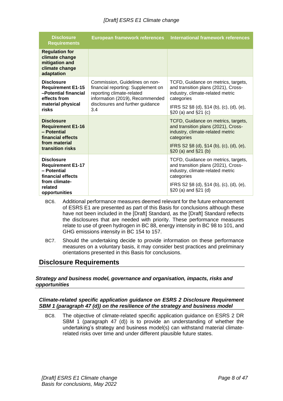| <b>Disclosure</b><br><b>Requirements</b>                                                                                       | <b>European framework references</b>                                                                                                                                            | <b>International framework references</b>                                                                                    |
|--------------------------------------------------------------------------------------------------------------------------------|---------------------------------------------------------------------------------------------------------------------------------------------------------------------------------|------------------------------------------------------------------------------------------------------------------------------|
| <b>Regulation for</b><br>climate change<br>mitigation and<br>climate change<br>adaptation                                      |                                                                                                                                                                                 |                                                                                                                              |
| <b>Disclosure</b><br><b>Requirement E1-15</b><br>-Potential financial<br>effects from                                          | Commission, Guidelines on non-<br>financial reporting: Supplement on<br>reporting climate-related<br>information (2019), Recommended<br>disclosures and further guidance<br>3.4 | TCFD, Guidance on metrics, targets,<br>and transition plans (2021), Cross-<br>industry, climate-related metric<br>categories |
| material physical<br>risks                                                                                                     |                                                                                                                                                                                 | IFRS S2 §8 (d), §14 (b), (c), (d), (e),<br>§20 (a) and §21 (c)                                                               |
| <b>Disclosure</b><br><b>Requirement E1-16</b><br>- Potential<br>financial effects<br>from material<br>transition risks         |                                                                                                                                                                                 | TCFD, Guidance on metrics, targets,<br>and transition plans (2021), Cross-<br>industry, climate-related metric<br>categories |
|                                                                                                                                |                                                                                                                                                                                 | IFRS S2 §8 (d), §14 (b), (c), (d), (e),<br>§20 (a) and §21 (b)                                                               |
| <b>Disclosure</b><br><b>Requirement E1-17</b><br>- Potential<br>financial effects<br>from climate-<br>related<br>opportunities |                                                                                                                                                                                 | TCFD, Guidance on metrics, targets,<br>and transition plans (2021), Cross-<br>industry, climate-related metric<br>categories |
|                                                                                                                                |                                                                                                                                                                                 | IFRS S2 §8 (d), §14 (b), (c), (d), (e),<br>$\S 20$ (a) and $\S 21$ (d)                                                       |

- BC6. Additional performance measures deemed relevant for the future enhancement of ESRS E1 are presented as part of this Basis for conclusions although these have not been included in the [Draft] Standard, as the [Draft] Standard reflects the disclosures that are needed with priority. These performance measures relate to use of green hydrogen in BC 88, energy intensity in BC 98 to 101, and GHG emissions intensity in BC 154 to 157.
- BC7. Should the undertaking decide to provide information on these performance measures on a voluntary basis, it may consider best practices and preliminary orientations presented in this Basis for conclusions.

## <span id="page-7-0"></span>**Disclosure Requirements**

#### <span id="page-7-1"></span>*Strategy and business model, governance and organisation, impacts, risks and opportunities*

<span id="page-7-2"></span>*Climate-related specific application guidance on ESRS 2 Disclosure Requirement SBM 1 (paragraph 47 (d)) on the resilience of the strategy and business model*

BC8. The objective of climate-related specific application guidance on ESRS 2 DR SBM 1 (paragraph 47 (d)) is to provide an understanding of whether the undertaking's strategy and business model(s) can withstand material climaterelated risks over time and under different plausible future states.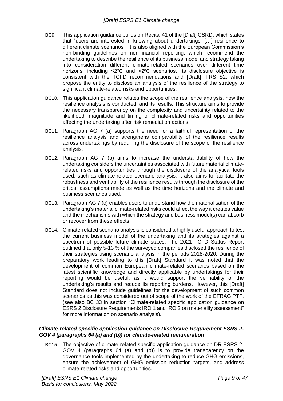- BC9. This application guidance builds on Recital 41 of the [Draft] CSRD, which states that "users are interested in knowing about undertakings' […] resilience to different climate scenarios". It is also aligned with the European Commission's non-binding guidelines on non-financial reporting, which recommend the undertaking to describe the resilience of its business model and strategy taking into consideration different climate-related scenarios over different time horizons, including ≤2°C and >2ºC scenarios. Its disclosure objective is consistent with the TCFD recommendations and [Draft] IFRS S2, which propose the entity to disclose an analysis of the resilience of the strategy to significant climate-related risks and opportunities.
- BC10. This application guidance relates the scope of the resilience analysis, how the resilience analysis is conducted, and its results. This structure aims to provide the necessary transparency on the complexity and uncertainty related to the likelihood, magnitude and timing of climate-related risks and opportunities affecting the undertaking after risk remediation actions.
- BC11. Paragraph AG 7 (a) supports the need for a faithful representation of the resilience analysis and strengthens comparability of the resilience results across undertakings by requiring the disclosure of the scope of the resilience analysis.
- BC12. Paragraph AG 7 (b) aims to increase the understandability of how the undertaking considers the uncertainties associated with future material climaterelated risks and opportunities through the disclosure of the analytical tools used, such as climate-related scenario analysis. It also aims to facilitate the robustness and verifiability of the resilience results through the disclosure of the critical assumptions made as well as the time horizons and the climate and business scenarios used.
- BC13. Paragraph AG 7 (c) enables users to understand how the materialisation of the undertaking's material climate-related risks could affect the way it creates value and the mechanisms with which the strategy and business model(s) can absorb or recover from these effects.
- BC14. Climate-related scenario analysis is considered a highly useful approach to test the current business model of the undertaking and its strategies against a spectrum of possible future climate states. The 2021 TCFD Status Report outlined that only 5-13 % of the surveyed companies disclosed the resilience of their strategies using scenario analysis in the periods 2018-2020. During the preparatory work leading to this [Draft] Standard it was noted that the development of common European climate-related scenarios based on the latest scientific knowledge and directly applicable by undertakings for their reporting would be useful, as it would support the verifiability of the undertaking's results and reduce its reporting burdens. However, this [Draft] Standard does not include guidelines for the development of such common scenarios as this was considered out of scope of the work of the EFRAG PTF. (see also BC 33 in section "Climate-related specific application guidance on ESRS 2 Disclosure Requirements IRO 1 and IRO 2 on materiality assessment" for more information on scenario analysis).

#### <span id="page-8-0"></span>*Climate-related specific application guidance on Disclosure Requirement ESRS 2- GOV 4 (paragraphs 64 (a) and (b)) for climate-related remuneration*

BC15. The objective of climate-related specific application guidance on DR ESRS 2- GOV 4 (paragraphs 64 (a) and (b)) is to provide transparency on the governance tools implemented by the undertaking to reduce GHG emissions, ensure the achievement of GHG emission reduction targets, and address climate-related risks and opportunities.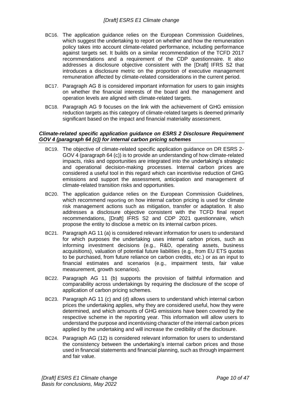- BC16. The application guidance relies on the European Commission Guidelines, which suggest the undertaking to report on whether and how the remuneration policy takes into account climate-related performance, including performance against targets set. It builds on a similar recommendation of the TCFD 2017 recommendations and a requirement of the CDP questionnaire. It also addresses a disclosure objective consistent with the [Draft] IFRS S2 that introduces a disclosure metric on the proportion of executive management remuneration affected by climate-related considerations in the current period.
- BC17. Paragraph AG 8 is considered important information for users to gain insights on whether the financial interests of the board and the management and operation levels are aligned with climate-related targets.
- BC18. Paragraph AG 9 focuses on the link with the achievement of GHG emission reduction targets as this category of climate-related targets is deemed primarily significant based on the impact and financial materiality assessment.

#### <span id="page-9-0"></span>*Climate-related specific application guidance on ESRS 2 Disclosure Requirement GOV 4 (paragraph 64 (c)) for internal carbon pricing schemes*

- BC19. The objective of climate-related specific application guidance on DR ESRS 2- GOV 4 (paragraph 64 (c)) is to provide an understanding of how climate-related impacts, risks and opportunities are integrated into the undertaking's strategic and operational decision-making processes. Internal carbon prices are considered a useful tool in this regard which can incentivise reduction of GHG emissions and support the assessment, anticipation and management of climate-related transition risks and opportunities.
- BC20. The application guidance relies on the European Commission Guidelines, which recommend reporting on how internal carbon pricing is used for climate risk management actions such as mitigation, transfer or adaptation. It also addresses a disclosure objective consistent with the TCFD final report recommendations, [Draft] IFRS S2 and CDP 2021 questionnaire, which propose the entity to disclose a metric on its internal carbon prices.
- BC21. Paragraph AG 11 (a) is considered relevant information for users to understand for which purposes the undertaking uses internal carbon prices, such as informing investment decisions (e.g., R&D, operating assets, business acquisitions), valuation of potential future liabilities (e.g., from EU ETS quotas to be purchased, from future reliance on carbon credits, etc.) or as an input to financial estimates and scenarios (e.g., impairment tests, fair value measurement, growth scenarios).
- BC22. Paragraph AG 11 (b) supports the provision of faithful information and comparability across undertakings by requiring the disclosure of the scope of application of carbon pricing schemes.
- BC23. Paragraph AG 11 (c) and (d) allows users to understand which internal carbon prices the undertaking applies, why they are considered useful, how they were determined, and which amounts of GHG emissions have been covered by the respective scheme in the reporting year. This information will allow users to understand the purpose and incentivising character of the internal carbon prices applied by the undertaking and will increase the credibility of the disclosure.
- BC24. Paragraph AG (12) is considered relevant information for users to understand the consistency between the undertaking's internal carbon prices and those used in financial statements and financial planning, such as through impairment and fair value.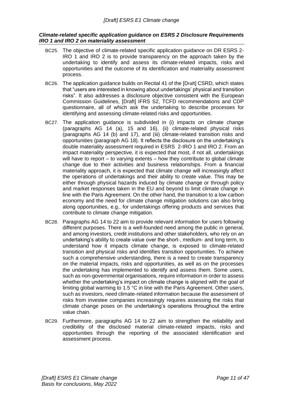#### <span id="page-10-0"></span>*Climate-related specific application guidance on ESRS 2 Disclosure Requirements IRO 1 and IRO 2 on materiality assessment*

- BC25. The objective of climate-related specific application guidance on DR ESRS 2- IRO 1 and IRO 2 is to provide transparency on the approach taken by the undertaking to identify and assess its climate-related impacts, risks and opportunities and the outcome of its identification and materiality assessment process.
- BC26. The application guidance builds on Recital 41 of the [Draft] CSRD, which states that "users are interested in knowing about undertakings' physical and transition risks". It also addresses a disclosure objective consistent with the European Commission Guidelines, [Draft] IFRS S2, TCFD recommendations and CDP questionnaire, all of which ask the undertaking to describe processes for identifying and assessing climate-related risks and opportunities.
- BC27. The application guidance is subdivided in (i) impacts on climate change (paragraphs AG 14 (a), 15 and 16), (ii) climate-related physical risks (paragraphs AG 14 (b) and 17), and (iii) climate-related transition risks and opportunities (paragraph AG 18). It reflects the disclosure on the undertaking's double materiality assessment required in ESRS 2-IRO 1 and IRO 2. From an impact materiality perspective, it is expected that most, if not all, undertakings will have to report – to varying extents – how they contribute to global climate change due to their activities and business relationships. From a financial materiality approach, it is expected that climate change will increasingly affect the operations of undertakings and their ability to create value. This may be either through physical hazards induced by climate change or through policy and market responses taken in the EU and beyond to limit climate change in line with the Paris Agreement. On the other hand, the transition to a low carbon economy and the need for climate change mitigation solutions can also bring along opportunities, e.g., for undertakings offering products and services that contribute to climate change mitigation.
- BC28. Paragraphs AG 14 to 22 aim to provide relevant information for users following different purposes. There is a well-founded need among the public in general, and among investors, credit institutions and other stakeholders, who rely on an undertaking's ability to create value over the short-, medium- and long term, to understand how it impacts climate change, is exposed to climate-related transition and physical risks and identifies transition opportunities. To achieve such a comprehensive understanding, there is a need to create transparency on the material impacts, risks and opportunities, as well as on the processes the undertaking has implemented to identify and assess them. Some users, such as non-governmental organisations, require information in order to assess whether the undertaking's impact on climate change is aligned with the goal of limiting global warming to 1.5 °C in line with the Paris Agreement. Other users, such as investors, need climate-related information because the assessment of risks from investee companies increasingly requires assessing the risks that climate change poses on the undertaking's operations throughout the entire value chain.
- BC29. Furthermore, paragraphs AG 14 to 22 aim to strengthen the reliability and credibility of the disclosed material climate-related impacts, risks and opportunities through the reporting of the associated identification and assessment process.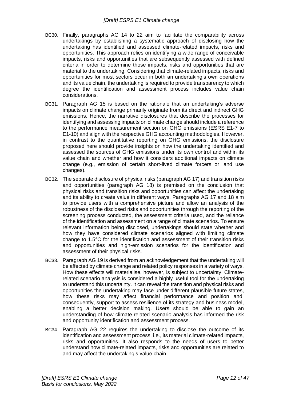- BC30. Finally, paragraphs AG 14 to 22 aim to facilitate the comparability across undertakings by establishing a systematic approach of disclosing how the undertaking has identified and assessed climate-related impacts, risks and opportunities. This approach relies on identifying a wide range of conceivable impacts, risks and opportunities that are subsequently assessed with defined criteria in order to determine those impacts, risks and opportunities that are material to the undertaking. Considering that climate-related impacts, risks and opportunities for most sectors occur in both an undertaking's own operations and its value chain, the undertaking is required to provide transparency to which degree the identification and assessment process includes value chain considerations.
- BC31. Paragraph AG 15 is based on the rationale that an undertaking's adverse impacts on climate change primarily originate from its direct and indirect GHG emissions. Hence, the narrative disclosures that describe the processes for identifying and assessing impacts on climate change should include a reference to the performance measurement section on GHG emissions (ESRS E1-7 to E1-10) and align with the respective GHG accounting methodologies. However, in contrast to the quantitative reporting on GHG emissions, the disclosure proposed here should provide insights on how the undertaking identified and assessed the sources of GHG emissions under its own control and within its value chain and whether and how it considers additional impacts on climate change (e.g., emission of certain short-lived climate forcers or land use changes).
- BC32. The separate disclosure of physical risks (paragraph AG 17) and transition risks and opportunities (paragraph AG 18) is premised on the conclusion that physical risks and transition risks and opportunities can affect the undertaking and its ability to create value in different ways. Paragraphs AG 17 and 18 aim to provide users with a comprehensive picture and allow an analysis of the robustness of the disclosed risks and opportunities through the reporting of the screening process conducted, the assessment criteria used, and the reliance of the identification and assessment on a range of climate scenarios. To ensure relevant information being disclosed, undertakings should state whether and how they have considered climate scenarios aligned with limiting climate change to 1.5°C for the identification and assessment of their transition risks and opportunities and high-emission scenarios for the identification and assessment of their physical risks.
- BC33. Paragraph AG 19 is derived from an acknowledgement that the undertaking will be affected by climate change and related policy responses in a variety of ways. How these effects will materialise, however, is subject to uncertainty. Climaterelated scenario analysis is considered a highly useful tool for the undertaking to understand this uncertainty. It can reveal the transition and physical risks and opportunities the undertaking may face under different plausible future states, how these risks may affect financial performance and position and, consequently, support to assess resilience of its strategy and business model, enabling a better decision making. Users should be able to gain an understanding of how climate-related scenario analysis has informed the risk and opportunity identification and assessment process.
- BC34. Paragraph AG 22 requires the undertaking to disclose the outcome of its identification and assessment process, i.e., its material climate-related impacts, risks and opportunities. It also responds to the needs of users to better understand how climate-related impacts, risks and opportunities are related to and may affect the undertaking's value chain.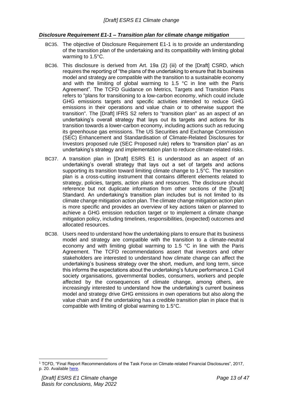#### <span id="page-12-0"></span>*Disclosure Requirement E1-1 – Transition plan for climate change mitigation*

- BC35. The objective of Disclosure Requirement E1-1 is to provide an understanding of the transition plan of the undertaking and its compatibility with limiting global warming to 1.5°C.
- BC36. This disclosure is derived from Art. 19a (2) (iii) of the [Draft] CSRD, which requires the reporting of "the plans of the undertaking to ensure that its business model and strategy are compatible with the transition to a sustainable economy and with the limiting of global warming to 1.5  $^{\circ}$ C in line with the Paris Agreement". The TCFD Guidance on Metrics, Targets and Transition Plans refers to "plans for transitioning to a low-carbon economy, which could include GHG emissions targets and specific activities intended to reduce GHG emissions in their operations and value chain or to otherwise support the transition". The [Draft] IFRS S2 refers to "transition plan" as an aspect of an undertaking's overall strategy that lays out its targets and actions for its transition towards a lower-carbon economy, including actions such as reducing its greenhouse gas emissions. The US Securities and Exchange Commission (SEC) Enhancement and Standardisation of Climate-Related Disclosures for Investors proposed rule (SEC Proposed rule) refers to "transition plan" as an undertaking's strategy and implementation plan to reduce climate-related risks.
- BC37. A transition plan in [Draft] ESRS E1 is understood as an aspect of an undertaking's overall strategy that lays out a set of targets and actions supporting its transition toward limiting climate change to 1.5°C. The transition plan is a cross-cutting instrument that contains different elements related to strategy, policies, targets, action plans and resources. The disclosure should reference but not duplicate information from other sections of the [Draft] Standard. An undertaking's transition plan includes but is not limited to its climate change mitigation action plan. The climate change mitigation action plan is more specific and provides an overview of key actions taken or planned to achieve a GHG emission reduction target or to implement a climate change mitigation policy, including timelines, responsibilities, (expected) outcomes and allocated resources.
- BC38. Users need to understand how the undertaking plans to ensure that its business model and strategy are compatible with the transition to a climate-neutral economy and with limiting global warming to 1.5 °C in line with the Paris Agreement. The TCFD recommendations assert that investors and other stakeholders are interested to understand how climate change can affect the undertaking's business strategy over the short, medium, and long term, since this informs the expectations about the undertaking's future performance.1 Civil society organisations, governmental bodies, consumers, workers and people affected by the consequences of climate change, among others, are increasingly interested to understand how the undertaking's current business model and strategy drive GHG emissions in own operations but also along the value chain and if the undertaking has a credible transition plan in place that is compatible with limiting of global warming to 1.5°C.

<sup>1</sup> TCFD, "Final Report Recommendations of the Task Force on Climate-related Financial Disclosures", 2017, p. 20. Available [here.](https://assets.bbhub.io/company/sites/60/2020/10/FINAL-2017-TCFD-Report-11052018.pdf)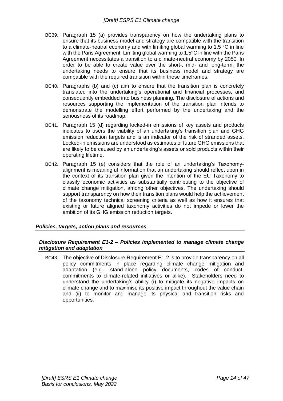- BC39. Paragraph 15 (a) provides transparency on how the undertaking plans to ensure that its business model and strategy are compatible with the transition to a climate-neutral economy and with limiting global warming to 1.5 °C in line with the Paris Agreement. Limiting global warming to 1.5°C in line with the Paris Agreement necessitates a transition to a climate-neutral economy by 2050. In order to be able to create value over the short-, mid- and long-term, the undertaking needs to ensure that its business model and strategy are compatible with the required transition within these timeframes.
- BC40. Paragraphs (b) and (c) aim to ensure that the transition plan is concretely translated into the undertaking's operational and financial processes, and consequently embedded into business planning. The disclosure of actions and resources supporting the implementation of the transition plan intends to demonstrate the modelling effort performed by the undertaking and the seriousness of its roadmap.
- BC41. Paragraph 15 (d) regarding locked-in emissions of key assets and products indicates to users the viability of an undertaking's transition plan and GHG emission reduction targets and is an indicator of the risk of stranded assets. Locked-in emissions are understood as estimates of future GHG emissions that are likely to be caused by an undertaking's assets or sold products within their operating lifetime.
- BC42. Paragraph 15 (e) considers that the role of an undertaking's Taxonomyalignment is meaningful information that an undertaking should reflect upon in the context of its transition plan given the intention of the EU Taxonomy to classify economic activities as substantially contributing to the objective of climate change mitigation, among other objectives. The undertaking should support transparency on how their transition plans would help the achievement of the taxonomy technical screening criteria as well as how it ensures that existing or future aligned taxonomy activities do not impede or lower the ambition of its GHG emission reduction targets.

#### <span id="page-13-1"></span><span id="page-13-0"></span>*Policies, targets, action plans and resources*

#### *Disclosure Requirement E1-2 – Policies implemented to manage climate change mitigation and adaptation*

BC43. The objective of Disclosure Requirement E1-2 is to provide transparency on all policy commitments in place regarding climate change mitigation and adaptation (e.g., stand-alone policy documents, codes of conduct, commitments to climate-related initiatives or alike). Stakeholders need to understand the undertaking's ability (i) to mitigate its negative impacts on climate change and to maximise its positive impact throughout the value chain and (ii) to monitor and manage its physical and transition risks and opportunities.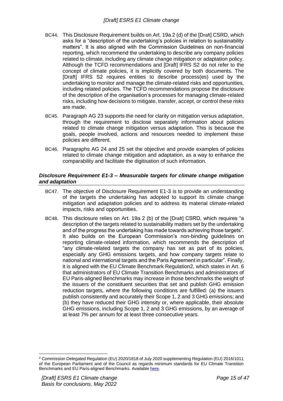- BC44. This Disclosure Requirement builds on Art. 19a 2 (d) of the [Draft] CSRD, which asks for a "description of the undertaking's policies in relation to sustainability matters". It is also aligned with the Commission Guidelines on non-financial reporting, which recommend the undertaking to describe any company policies related to climate, including any climate change mitigation or adaptation policy. Although the TCFD recommendations and [Draft] IFRS S2 do not refer to the concept of climate policies, it is implicitly covered by both documents. The [Draft] IFRS S2 requires entities to describe process(es) used by the undertaking to monitor and manage the climate-related risks and opportunities, including related policies. The TCFD recommendations propose the disclosure of the description of the organisation's processes for managing climate-related risks, including how decisions to mitigate, transfer, accept, or control these risks are made.
- BC45. Paragraph AG 23 supports the need for clarity on mitigation versus adaptation, through the requirement to disclose separately information about policies related to climate change mitigation versus adaptation. This is because the goals, people involved, actions and resources needed to implement these policies are different.
- BC46. Paragraphs AG 24 and 25 set the objective and provide examples of policies related to climate change mitigation and adaptation, as a way to enhance the comparability and facilitate the digitisation of such information.

#### <span id="page-14-0"></span>*Disclosure Requirement E1-3 – Measurable targets for climate change mitigation and adaptation*

- BC47. The objective of Disclosure Requirement E1-3 is to provide an understanding of the targets the undertaking has adopted to support its climate change mitigation and adaptation policies and to address its material climate-related impacts, risks and opportunities.
- BC48. This disclosure relies on Art. 19a 2 (b) of the [Draft] CSRD, which requires "a description of the targets related to sustainability matters set by the undertaking and of the progress the undertaking has made towards achieving those targets". It also builds on the European Commission's non-binding guidelines on reporting climate-related information, which recommends the description of "any climate-related targets the company has set as part of its policies, especially any GHG emissions targets, and how company targets relate to national and international targets and the Paris Agreement in particular". Finally, it is aligned with the EU Climate Benchmark Regulation2, which states in Art. 6 that administrators of EU Climate Transition Benchmarks and administrators of EU Paris-aligned Benchmarks may increase in those benchmarks the weight of the issuers of the constituent securities that set and publish GHG emission reduction targets, where the following conditions are fulfilled: (a) the issuers publish consistently and accurately their Scope 1, 2 and 3 GHG emissions; and (b) they have reduced their GHG intensity or, where applicable, their absolute GHG emissions, including Scope 1, 2 and 3 GHG emissions, by an average of at least 7% per annum for at least three consecutive years.

<sup>2</sup> Commission Delegated Regulation (EU) 2020/1818 of July 2020 supplementing Regulation (EU) 2016/1011 of the European Parliament and of the Council as regards minimum standards for EU Climate Transition Benchmarks and EU Paris-aligned Benchmarks. Available [here.](https://eur-lex.europa.eu/legal-content/EN/TXT/PDF/?uri=CELEX:32020R1818&from=EN)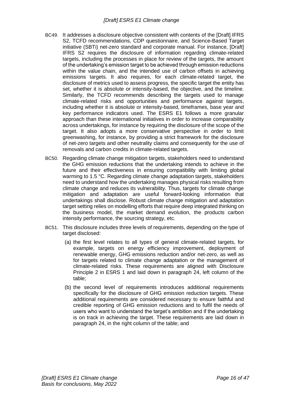- BC49. It addresses a disclosure objective consistent with contents of the [Draft] IFRS S2, TCFD recommendations, CDP questionnaire, and Science-Based Target initiative (SBTi) net-zero standard and corporate manual. For instance, [Draft] IFRS S2 requires the disclosure of information regarding climate-related targets, including the processes in place for review of the targets, the amount of the undertaking's emission target to be achieved through emission reductions within the value chain, and the intended use of carbon offsets in achieving emissions targets. It also requires, for each climate-related target, the disclosure of metrics used to assess progress, the specific target the entity has set, whether it is absolute or intensity-based, the objective, and the timeline. Similarly, the TCFD recommends describing the targets used to manage climate-related risks and opportunities and performance against targets, including whether it is absolute or intensity-based, timeframes, base year and key performance indicators used. The ESRS E1 follows a more granular approach than these international initiatives in order to increase comparability across undertakings, for instance by requiring the disclosure of the scope of the target. It also adopts a more conservative perspective in order to limit greenwashing, for instance, by providing a strict framework for the disclosure of net-zero targets and other neutrality claims and consequently for the use of removals and carbon credits in climate-related targets.
- BC50. Regarding climate change mitigation targets, stakeholders need to understand the GHG emission reductions that the undertaking intends to achieve in the future and their effectiveness in ensuring compatibility with limiting global warming to 1.5 °C. Regarding climate change adaptation targets, stakeholders need to understand how the undertaking manages physical risks resulting from climate change and reduces its vulnerability. Thus, targets for climate change mitigation and adaptation are useful forward-looking information that undertakings shall disclose. Robust climate change mitigation and adaptation target setting relies on modelling efforts that require deep integrated thinking on the business model, the market demand evolution, the products carbon intensity performance, the sourcing strategy, etc.
- BC51. This disclosure includes three levels of requirements, depending on the type of target disclosed:
	- (a) the first level relates to all types of general climate-related targets, for example, targets on energy efficiency improvement, deployment of renewable energy, GHG emissions reduction and/or net-zero, as well as for targets related to climate change adaptation or the management of climate-related risks. These requirements are aligned with Disclosure Principle 2 in ESRS 1 and laid down in paragraph 24, left column of the table;
	- (b) the second level of requirements introduces additional requirements specifically for the disclosure of GHG emission reduction targets. These additional requirements are considered necessary to ensure faithful and credible reporting of GHG emission reductions and to fulfil the needs of users who want to understand the target's ambition and if the undertaking is on track in achieving the target. These requirements are laid down in paragraph 24, in the right column of the table; and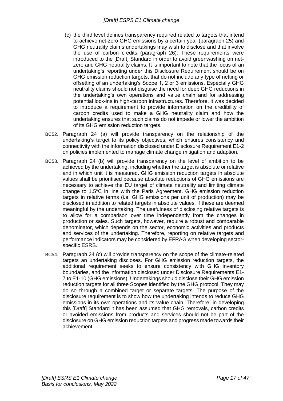#### *[Draft] ESRS E1 Climate change*

- (c) the third level defines transparency required related to targets that intend to achieve net-zero GHG emissions by a certain year (paragraph 25) and GHG neutrality claims undertakings may wish to disclose and that involve the use of carbon credits (paragraph 26). These requirements were introduced to the [Draft] Standard in order to avoid greenwashing on netzero and GHG neutrality claims. It is important to note that the focus of an undertaking's reporting under this Disclosure Requirement should be on GHG emission reduction targets, that do not include any type of netting or offsetting of an undertaking's Scope 1, 2 or 3 emissions. Especially GHG neutrality claims should not disguise the need for deep GHG reductions in the undertaking's own operations and value chain and for addressing potential lock-ins in high-carbon infrastructures. Therefore, it was decided to introduce a requirement to provide information on the credibility of carbon credits used to make a GHG neutrality claim and how the undertaking ensures that such claims do not impede or lower the ambition of its GHG emission reduction targets.
- BC52. Paragraph 24 (a) will provide transparency on the relationship of the undertaking's target to its policy objectives, which ensures consistency and connectivity with the information disclosed under Disclosure Requirement E1-2 on policies implemented to manage climate change mitigation and adaption.
- BC53. Paragraph 24 (b) will provide transparency on the level of ambition to be achieved by the undertaking, including whether the target is absolute or relative and in which unit it is measured. GHG emission reduction targets in absolute values shall be prioritised because absolute reductions of GHG emissions are necessary to achieve the EU target of climate neutrality and limiting climate change to 1.5°C in line with the Paris Agreement. GHG emission reduction targets in relative terms (i.e. GHG emissions per unit of production) may be disclosed in addition to related targets in absolute values, if these are deemed meaningful by the undertaking. The usefulness of disclosing relative targets is to allow for a comparison over time independently from the changes in production or sales. Such targets, however, require a robust and comparable denominator, which depends on the sector, economic activities and products and services of the undertaking. Therefore, reporting on relative targets and performance indicators may be considered by EFRAG when developing sectorspecific ESRS.
- BC54. Paragraph 24 (c) will provide transparency on the scope of the climate-related targets an undertaking discloses. For GHG emission reduction targets, the additional requirement seeks to ensure consistency with GHG inventory boundaries, and the information disclosed under Disclosure Requirements E1- 7 to E1-10 (GHG emissions). Undertakings should disclose their GHG emission reduction targets for all three Scopes identified by the GHG protocol. They may do so through a combined target or separate targets. The purpose of the disclosure requirement is to show how the undertaking intends to reduce GHG emissions in its own operations and its value chain. Therefore, in developing this [Draft] Standard it has been assumed that GHG removals, carbon credits or avoided emissions from products and services should not be part of the disclosure on GHG emission reduction targets and progress made towards their achievement.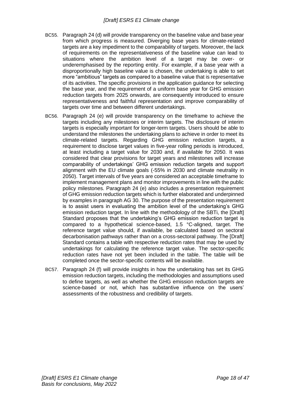- BC55. Paragraph 24 (d) will provide transparency on the baseline value and base year from which progress is measured. Diverging base years for climate-related targets are a key impediment to the comparability of targets. Moreover, the lack of requirements on the representativeness of the baseline value can lead to situations where the ambition level of a target may be over- or underemphasised by the reporting entity. For example, if a base year with a disproportionally high baseline value is chosen, the undertaking is able to set more "ambitious" targets as compared to a baseline value that is representative of its activities. The specific provisions in the application guidance for selecting the base year, and the requirement of a uniform base year for GHG emission reduction targets from 2025 onwards, are consequently introduced to ensure representativeness and faithful representation and improve comparability of targets over time and between different undertakings.
- BC56. Paragraph 24 (e) will provide transparency on the timeframe to achieve the targets including any milestones or interim targets. The disclosure of interim targets is especially important for longer-term targets. Users should be able to understand the milestones the undertaking plans to achieve in order to meet its climate-related targets. Regarding GHG emission reduction targets, a requirement to disclose target values in five-year rolling periods is introduced, at least including a target value for 2030 and, if available for 2050. It was considered that clear provisions for target years and milestones will increase comparability of undertakings' GHG emission reduction targets and support alignment with the EU climate goals (-55% in 2030 and climate neutrality in 2050). Target intervals of five years are considered an acceptable timeframe to implement management plans and monitor improvements in line with the public policy milestones. Paragraph 24 (e) also includes a presentation requirement of GHG emission reduction targets which is further elaborated and underpinned by examples in paragraph AG 30. The purpose of the presentation requirement is to assist users in evaluating the ambition level of the undertaking's GHG emission reduction target. In line with the methodology of the SBTi, the [Draft] Standard proposes that the undertaking's GHG emission reduction target is compared to a hypothetical science-based, 1.5 °C-aligned, target. The reference target value should, if available, be calculated based on sectoral decarbonisation pathways rather than on a cross-sectoral pathway. The [Draft] Standard contains a table with respective reduction rates that may be used by undertakings for calculating the reference target value. The sector-specific reduction rates have not yet been included in the table. The table will be completed once the sector-specific contents will be available.
- BC57. Paragraph 24 (f) will provide insights in how the undertaking has set its GHG emission reduction targets, including the methodologies and assumptions used to define targets, as well as whether the GHG emission reduction targets are science-based or not, which has substantive influence on the users' assessments of the robustness and credibility of targets.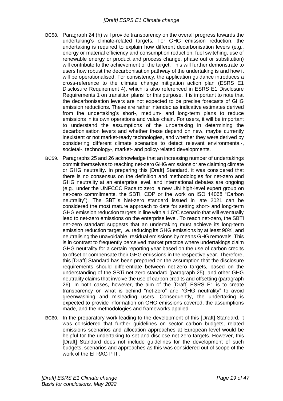- BC58. Paragraph 24 (h) will provide transparency on the overall progress towards the undertaking's climate-related targets. For GHG emission reduction, the undertaking is required to explain how different decarbonisation levers (e.g., energy or material efficiency and consumption reduction, fuel switching, use of renewable energy or product and process change, phase out or substitution) will contribute to the achievement of the target. This will further demonstrate to users how robust the decarbonisation pathway of the undertaking is and how it will be operationalised. For consistency, the application guidance introduces a cross-reference to the climate change mitigation action plan (ESRS E1 Disclosure Requirement 4), which is also referenced in ESRS E1 Disclosure Requirements 1 on transition plans for this purpose. It is important to note that the decarbonisation levers are not expected to be precise forecasts of GHG emission reductions. These are rather intended as indicative estimates derived from the undertaking's short-, medium- and long-term plans to reduce emissions in its own operations and value chain. For users, it will be important to understand the assumptions of the undertaking in determining the decarbonisation levers and whether these depend on new, maybe currently inexistent or not market-ready technologies, and whether they were derived by considering different climate scenarios to detect relevant environmental-, societal-, technology-, market- and policy-related developments.
- BC59. Paragraphs 25 and 26 acknowledge that an increasing number of undertakings commit themselves to reaching net-zero GHG emissions or are claiming climate or GHG neutrality. In preparing this [Draft] Standard, it was considered that there is no consensus on the definition and methodologies for net-zero and GHG neutrality at an enterprise level, and international debates are ongoing (e.g., under the UNFCCC Race to zero, a new UN high-level expert group on net-zero commitments, the SBTi, CDP or the work on ISO 14068 "Carbon neutrality"). The SBTi's Net-zero standard issued in late 2021 can be considered the most mature approach to date for setting short- and long-term GHG emission reduction targets in line with a 1.5°C scenario that will eventually lead to net-zero emissions on the enterprise level. To reach net-zero, the SBTi net-zero standard suggests that an undertaking must achieve its long-term emission reduction target, i.e. reducing its GHG emissions by at least 90%, and neutralising the unavoidable, residual emissions by means GHG removals. This is in contrast to frequently perceived market practice where undertakings claim GHG neutrality for a certain reporting year based on the use of carbon credits to offset or compensate their GHG emissions in the respective year. Therefore, this [Draft] Standard has been prepared on the assumption that the disclosure requirements should differentiate between net-zero targets, based on the understanding of the SBTi net-zero standard (paragraph 25), and other GHG neutrality claims that involve the use of carbon credits and offsetting (paragraph 26). In both cases, however, the aim of the [Draft] ESRS E1 is to create transparency on what is behind "net-zero" and "GHG neutrality" to avoid greenwashing and misleading users. Consequently, the undertaking is expected to provide information on GHG emissions covered, the assumptions made, and the methodologies and frameworks applied.
- BC60. In the preparatory work leading to the development of this [Draft] Standard, it was considered that further guidelines on sector carbon budgets, related emissions scenarios and allocation approaches at European level would be helpful for the undertaking to set and disclose net-zero targets. However, this [Draft] Standard does not include guidelines for the development of such budgets, scenarios and approaches as this was considered out of scope of the work of the EFRAG PTF.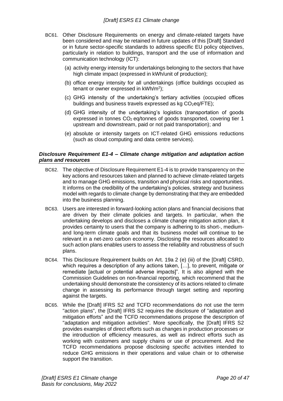- BC61. Other Disclosure Requirements on energy and climate-related targets have been considered and may be retained in future updates of this [Draft] Standard or in future sector-specific standards to address specific EU policy objectives, particularly in relation to buildings, transport and the use of information and communication technology (ICT):
	- (a) activity energy intensity for undertakings belonging to the sectors that have high climate impact (expressed in kWh/unit of production);
	- (b) office energy intensity for all undertakings (office buildings occupied as tenant or owner expressed in kWh/m<sup>2</sup>);
	- (c) GHG intensity of the undertaking's tertiary activities (occupied offices buildings and business travels expressed as  $kq$  CO<sub>2</sub>eq/FTE);
	- (d) GHG intensity of the undertaking's logistics (transportation of goods expressed in tonnes  $CO<sub>2</sub>$  eq/tonnes of goods transported, covering tier 1 upstream and downstream, paid or not paid transportation); and
	- (e) absolute or intensity targets on ICT-related GHG emissions reductions (such as cloud computing and data centre services).

#### <span id="page-19-0"></span>*Disclosure Requirement E1-4 – Climate change mitigation and adaptation action plans and resources*

- BC62. The objective of Disclosure Requirement E1-4 is to provide transparency on the key actions and resources taken and planned to achieve climate-related targets and to manage GHG emissions, transition and physical risks and opportunities. It informs on the credibility of the undertaking's policies, strategy and business model with regards to climate change by demonstrating that they are embedded into the business planning.
- BC63. Users are interested in forward-looking action plans and financial decisions that are driven by their climate policies and targets. In particular, when the undertaking develops and discloses a climate change mitigation action plan, it provides certainty to users that the company is adhering to its short-, mediumand long-term climate goals and that its business model will continue to be relevant in a net-zero carbon economy. Disclosing the resources allocated to such action plans enables users to assess the reliability and robustness of such plans.
- BC64. This Disclosure Requirement builds on Art. 19a 2 (e) (iii) of the [Draft] CSRD, which requires a description of any actions taken, […], to prevent, mitigate or remediate [actual or potential adverse impacts]". It is also aligned with the Commission Guidelines on non-financial reporting, which recommend that the undertaking should demonstrate the consistency of its actions related to climate change in assessing its performance through target setting and reporting against the targets.
- BC65. While the [Draft] IFRS S2 and TCFD recommendations do not use the term "action plans", the [Draft] IFRS S2 requires the disclosure of "adaptation and mitigation efforts" and the TCFD recommendations propose the description of "adaptation and mitigation activities". More specifically, the [Draft] IFRS S2 provides examples of direct efforts such as changes in production processes or the introduction of efficiency measures, as well as indirect efforts such as working with customers and supply chains or use of procurement. And the TCFD recommendations propose disclosing specific activities intended to reduce GHG emissions in their operations and value chain or to otherwise support the transition.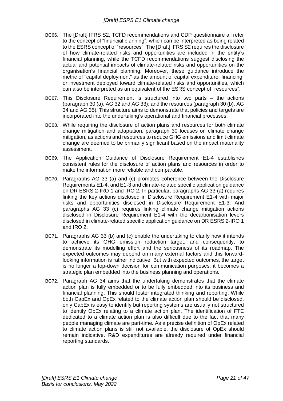- BC66. The [Draft] IFRS S2, TCFD recommendations and CDP questionnaire all refer to the concept of "financial planning", which can be interpreted as being related to the ESRS concept of "resources". The [Draft] IFRS S2 requires the disclosure of how climate-related risks and opportunities are included in the entity's financial planning, while the TCFD recommendations suggest disclosing the actual and potential impacts of climate-related risks and opportunities on the organisation's financial planning. Moreover, these guidance introduce the metric of "capital deployment" as the amount of capital expenditure, financing, or investment deployed toward climate-related risks and opportunities, which can also be interpreted as an equivalent of the ESRS concept of "resources".
- BC67. This Disclosure Requirement is structured into two parts the actions (paragraph 30 (a), AG 32 and AG 33); and the resources (paragraph 30 (b), AG 34 and AG 35). This structure aims to demonstrate that policies and targets are incorporated into the undertaking's operational and financial processes.
- BC68. While requiring the disclosure of action plans and resources for both climate change mitigation and adaptation, paragraph 30 focuses on climate change mitigation, as actions and resources to reduce GHG emissions and limit climate change are deemed to be primarily significant based on the impact materiality assessment.
- BC69. The Application Guidance of Disclosure Requirement E1-4 establishes consistent rules for the disclosure of action plans and resources in order to make the information more reliable and comparable.
- BC70. Paragraphs AG 33 (a) and (c) promotes coherence between the Disclosure Requirements E1-4, and E1-3 and climate-related specific application guidance on DR ESRS 2-IRO 1 and IRO 2. In particular, paragraphs AG 33 (a) requires linking the key actions disclosed in Disclosure Requirement E1-4 with major risks and opportunities disclosed in Disclosure Requirement E1-3. And paragraphs AG 33 (c) requires linking climate change mitigation actions disclosed in Disclosure Requirement E1-4 with the decarbonisation levers disclosed in climate-related specific application guidance on DR ESRS 2-IRO 1 and IRO 2.
- BC71. Paragraphs AG 33 (b) and (c) enable the undertaking to clarify how it intends to achieve its GHG emission reduction target, and consequently, to demonstrate its modelling effort and the seriousness of its roadmap. The expected outcomes may depend on many external factors and this forwardlooking information is rather indicative. But with expected outcomes, the target is no longer a top-down decision for communication purposes, it becomes a strategic plan embedded into the business planning and operations.
- BC72. Paragraph AG 34 aims that the undertaking demonstrates that the climate action plan is fully embedded or to be fully embedded into its business and financial planning. This should foster integrated thinking and reporting. While both CapEx and OpEx related to the climate action plan should be disclosed, only CapEx is easy to identify but reporting systems are usually not structured to identify OpEx relating to a climate action plan. The identification of FTE dedicated to a climate action plan is also difficult due to the fact that many people managing climate are part-time. As a precise definition of OpEx related to climate action plans is still not available, the disclosure of OpEx should remain indicative. R&D expenditures are already required under financial reporting standards.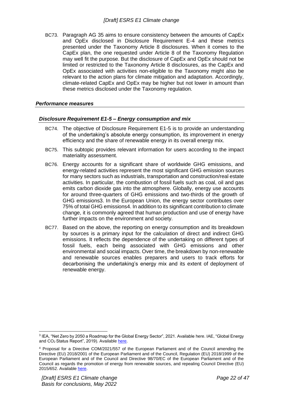BC73. Paragraph AG 35 aims to ensure consistency between the amounts of CapEx and OpEx disclosed in Disclosure Requirement E-4 and these metrics presented under the Taxonomy Article 8 disclosures. When it comes to the CapEx plan, the one requested under Article 8 of the Taxonomy Regulation may well fit the purpose. But the disclosure of CapEx and OpEx should not be limited or restricted to the Taxonomy Article 8 disclosures, as the CapEx and OpEx associated with activities non-eligible to the Taxonomy might also be relevant to the action plans for climate mitigation and adaptation. Accordingly, climate-related CapEx and OpEx may be higher but not lower in amount than these metrics disclosed under the Taxonomy regulation.

#### <span id="page-21-1"></span><span id="page-21-0"></span>*Performance measures*

#### *Disclosure Requirement E1-5 – Energy consumption and mix*

- BC74. The objective of Disclosure Requirement E1-5 is to provide an understanding of the undertaking's absolute energy consumption, its improvement in energy efficiency and the share of renewable energy in its overall energy mix.
- BC75. This subtopic provides relevant information for users according to the impact materiality assessment.
- BC76. Energy accounts for a significant share of worldwide GHG emissions, and energy-related activities represent the most significant GHG emission sources for many sectors such as industrials, transportation and construction/real estate activities. In particular, the combustion of fossil fuels such as coal, oil and gas emits carbon dioxide gas into the atmosphere. Globally, energy use accounts for around three-quarters of GHG emissions and two-thirds of the growth of GHG emissions3. In the European Union, the energy sector contributes over 75% of total GHG emissions4. In addition to its significant contribution to climate change, it is commonly agreed that human production and use of energy have further impacts on the environment and society.
- BC77. Based on the above, the reporting on energy consumption and its breakdown by sources is a primary input for the calculation of direct and indirect GHG emissions. It reflects the dependence of the undertaking on different types of fossil fuels, each being associated with GHG emissions and other environmental and social impacts. Over time, the breakdown by non-renewable and renewable sources enables preparers and users to track efforts for decarbonising the undertaking's energy mix and its extent of deployment of renewable energy.

<sup>3</sup> IEA, "Net Zero by 2050 a Roadmap for the Global Energy Sector", 2021. Availabl[e here.](https://www.iea.org/reports/net-zero-by-2050) IAE, "Global Energy and CO<sub>2</sub> Status Report", 2019). Available [here.](https://www.iea.org/reports/global-energy-co2-status-report-2019)

<sup>4</sup> Proposal for a Directive COM/2021/557 of the European Parliament and of the Council amending the Directive (EU) 2018/2001 of the European Parliament and of the Council, Regulation (EU) 2018/1999 of the European Parliament and of the Council and Directive 98/70/EC of the European Parliament and of the Council as regards the promotion of energy from renewable sources, and repealing Council Directive (EU) 2015/652. Available [here.](https://ec.europa.eu/info/sites/default/files/amendment-renewable-energy-directive-2030-climate-target-with-annexes_en.pdf)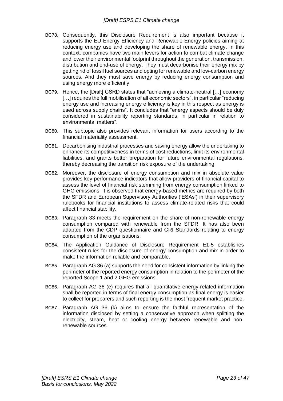- BC78. Consequently, this Disclosure Requirement is also important because it supports the EU Energy Efficiency and Renewable Energy policies aiming at reducing energy use and developing the share of renewable energy. In this context, companies have two main levers for action to combat climate change and lower their environmental footprint throughout the generation, transmission, distribution and end-use of energy. They must decarbonise their energy mix by getting rid of fossil fuel sources and opting for renewable and low-carbon energy sources. And they must save energy by reducing energy consumption and using energy more efficiently.
- BC79. Hence, the [Draft] CSRD states that "achieving a climate-neutral […] economy [...] requires the full mobilisation of all economic sectors", in particular "reducing" energy use and increasing energy efficiency is key in this respect as energy is used across supply chains". It concludes that "energy aspects should be duly considered in sustainability reporting standards, in particular in relation to environmental matters".
- BC80. This subtopic also provides relevant information for users according to the financial materiality assessment.
- BC81. Decarbonising industrial processes and saving energy allow the undertaking to enhance its competitiveness in terms of cost reductions, limit its environmental liabilities, and grants better preparation for future environmental regulations, thereby decreasing the transition risk exposure of the undertaking.
- BC82. Moreover, the disclosure of energy consumption and mix in absolute value provides key performance indicators that allow providers of financial capital to assess the level of financial risk stemming from energy consumption linked to GHG emissions. It is observed that energy-based metrics are required by both the SFDR and European Supervisory Authorities ('ESAs') in their supervisory rulebooks for financial institutions to assess climate-related risks that could affect financial stability.
- BC83. Paragraph 33 meets the requirement on the share of non-renewable energy consumption compared with renewable from the SFDR. It has also been adapted from the CDP questionnaire and GRI Standards relating to energy consumption of the organisations.
- BC84. The Application Guidance of Disclosure Requirement E1-5 establishes consistent rules for the disclosure of energy consumption and mix in order to make the information reliable and comparable.
- BC85. Paragraph AG 36 (a) supports the need for consistent information by linking the perimeter of the reported energy consumption in relation to the perimeter of the reported Scope 1 and 2 GHG emissions.
- BC86. Paragraph AG 36 (e) requires that all quantitative energy-related information shall be reported in terms of final energy consumption as final energy is easier to collect for preparers and such reporting is the most frequent market practice.
- BC87. Paragraph AG 36 (k) aims to ensure the faithful representation of the information disclosed by setting a conservative approach when splitting the electricity, steam, heat or cooling energy between renewable and nonrenewable sources.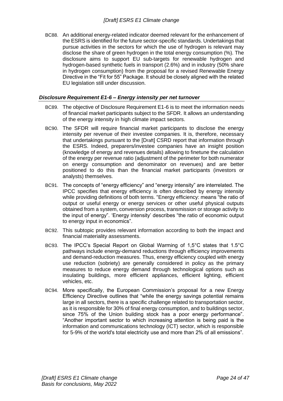BC88. An additional energy-related indicator deemed relevant for the enhancement of the ESRS is identified for the future sector-specific standards. Undertakings that pursue activities in the sectors for which the use of hydrogen is relevant may disclose the share of green hydrogen in the total energy consumption (%). The disclosure aims to support EU sub-targets for renewable hydrogen and hydrogen-based synthetic fuels in transport (2.6%) and in industry (50% share in hydrogen consumption) from the proposal for a revised Renewable Energy Directive in the "Fit for 55" Package. It should be closely aligned with the related EU legislation still under discussion.

#### <span id="page-23-0"></span>*Disclosure Requirement E1-6 – Energy intensity per net turnover*

- BC89. The objective of Disclosure Requirement E1-6 is to meet the information needs of financial market participants subject to the SFDR. It allows an understanding of the energy intensity in high climate impact sectors.
- BC90. The SFDR will require financial market participants to disclose the energy intensity per revenue of their investee companies. It is, therefore, necessary that undertakings pursuant to the [Draft] CSRD report that information through the ESRS. Indeed, preparers/investee companies have an insight position (knowledge of energy and revenues details) allowing to finetune the calculation of the energy per revenue ratio (adjustment of the perimeter for both numerator on energy consumption and denominator on revenues) and are better positioned to do this than the financial market participants (investors or analysts) themselves.
- BC91. The concepts of "energy efficiency" and "energy intensity" are interrelated. The IPCC specifies that energy efficiency is often described by energy intensity while providing definitions of both terms. "Energy efficiency: means "the ratio of output or useful energy or energy services or other useful physical outputs obtained from a system, conversion process, transmission or storage activity to the input of energy". 'Energy intensity' describes "the ratio of economic output to energy input in economics".
- BC92. This subtopic provides relevant information according to both the impact and financial materiality assessments.
- BC93. The IPCC's Special Report on Global Warming of 1,5°C states that 1.5°C pathways include energy-demand reductions through efficiency improvements and demand-reduction measures. Thus, energy efficiency coupled with energy use reduction (sobriety) are generally considered in policy as the primary measures to reduce energy demand through technological options such as insulating buildings, more efficient appliances, efficient lighting, efficient vehicles, etc.
- BC94. More specifically, the European Commission's proposal for a new Energy Efficiency Directive outlines that "while the energy savings potential remains large in all sectors, there is a specific challenge related to transportation sector, as it is responsible for 30% of final energy consumption, and to buildings sector, since 75% of the Union building stock has a poor energy performance". "Another important sector to which increasing attention is being paid is the information and communications technology (ICT) sector, which is responsible for 5-9% of the world's total electricity use and more than 2% of all emissions".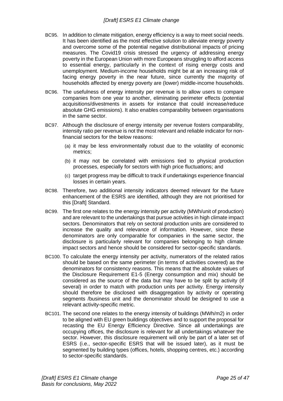- BC95. In addition to climate mitigation, energy efficiency is a way to meet social needs. It has been identified as the most effective solution to alleviate energy poverty and overcome some of the potential negative distributional impacts of pricing measures. The Covid19 crisis stressed the urgency of addressing energy poverty in the European Union with more Europeans struggling to afford access to essential energy, particularly in the context of rising energy costs and unemployment. Medium-income households might be at an increasing risk of facing energy poverty in the near future, since currently the majority of households affected by energy poverty are (lower) middle-income households.
- BC96. The usefulness of energy intensity per revenue is to allow users to compare companies from one year to another, eliminating perimeter effects (potential acquisitions/divestments in assets for instance that could increase/reduce absolute GHG emissions). It also enables comparability between organisations in the same sector.
- BC97. Although the disclosure of energy intensity per revenue fosters comparability, intensity ratio per revenue is not the most relevant and reliable indicator for nonfinancial sectors for the below reasons:
	- (a) it may be less environmentally robust due to the volatility of economic metrics;
	- (b) it may not be correlated with emissions tied to physical production processes, especially for sectors with high price fluctuations; and
	- (c) target progress may be difficult to track if undertakings experience financial losses in certain years.
- BC98. Therefore, two additional intensity indicators deemed relevant for the future enhancement of the ESRS are identified, although they are not prioritised for this [Draft] Standard.
- BC99. The first one relates to the energy intensity per activity (MWh/unit of production) and are relevant to the undertakings that pursue activities in high climate impact sectors. Denominators that rely on sectoral production units are considered to increase the quality and relevance of information. However, since these denominators are only comparable for companies in the same sector, the disclosure is particularly relevant for companies belonging to high climate impact sectors and hence should be considered for sector-specific standards.
- BC100. To calculate the energy intensity per activity, numerators of the related ratios should be based on the same perimeter (in terms of activities covered) as the denominators for consistency reasons. This means that the absolute values of the Disclosure Requirement E1-5 (Energy consumption and mix) should be considered as the source of the data but may have to be split by activity (if several) in order to match with production units per activity. Energy intensity should therefore be disclosed with disaggregation by activity or operating segments /business unit and the denominator should be designed to use a relevant activity-specific metric.
- BC101. The second one relates to the energy intensity of buildings (MWh/m2) in order to be aligned with EU green buildings objectives and to support the proposal for recasting the EU Energy Efficiency Directive. Since all undertakings are occupying offices, the disclosure is relevant for all undertakings whatever the sector. However, this disclosure requirement will only be part of a later set of ESRS (i.e., sector-specific ESRS that will be issued later), as it must be segmented by building types (offices, hotels, shopping centres, etc.) according to sector-specific standards.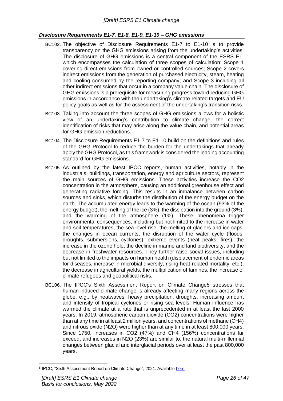#### <span id="page-25-0"></span>*Disclosure Requirements E1-7, E1-8, E1-9, E1-10 – GHG emissions*

- BC102. The objective of Disclosure Requirements E1-7 to E1-10 is to provide transparency on the GHG emissions arising from the undertaking's activities. The disclosure of GHG emissions is a central component of the ESRS E1, which encompasses the calculation of three scopes of calculation: Scope 1 covering direct emissions from owned or controlled sources; Scope 2 covers indirect emissions from the generation of purchased electricity, steam, heating and cooling consumed by the reporting company; and Scope 3 including all other indirect emissions that occur in a company value chain. The disclosure of GHG emissions is a prerequisite for measuring progress toward reducing GHG emissions in accordance with the undertaking's climate-related targets and EU policy goals as well as for the assessment of the undertaking's transition risks.
- BC103. Taking into account the three scopes of GHG emissions allows for a holistic view of an undertaking's contribution to climate change, the correct identification of risks that may arise along the value chain, and potential areas for GHG emission reductions.
- BC104. The Disclosure Requirements E1-7 to E1-10 build on the definitions and rules of the GHG Protocol to reduce the burden for the undertakings that already apply the GHG Protocol, as this framework is considered the leading accounting standard for GHG emissions.
- BC105. As outlined by the latest IPCC reports, human activities, notably in the industrials, buildings, transportation, energy and agriculture sectors, represent the main sources of GHG emissions. These activities increase the CO2 concentration in the atmosphere, causing an additional greenhouse effect and generating radiative forcing. This results in an imbalance between carbon sources and sinks, which disturbs the distribution of the energy budget on the earth. The accumulated energy leads to the warming of the ocean (93% of the energy budget), the melting of the ice (3%), the dissipation into the ground (3%), and the warming of the atmosphere (1%). These phenomena trigger environmental consequences, including but not limited to the increase in water and soil temperatures, the sea level rise, the melting of glaciers and ice caps, the changes in ocean currents, the disruption of the water cycle (floods, droughts, submersions, cyclones), extreme events (heat peaks, fires), the increase in the ozone hole, the decline in marine and land biodiversity, and the decrease in freshwater resources. They further raise social issues, including but not limited to the impacts on human health (displacement of endemic areas for diseases, increase in microbial diversity, rising heat-related mortality, etc.), the decrease in agricultural yields, the multiplication of famines, the increase of climate refugees and geopolitical risks.
- BC106. The IPCC's Sixth Assessment Report on Climate Change5 stresses that human-induced climate change is already affecting many regions across the globe, e.g., by heatwaves, heavy precipitation, droughts, increasing amount and intensity of tropical cyclones or rising sea levels. Human influence has warmed the climate at a rate that is unprecedented in at least the last 2000 years. In 2019, atmospheric carbon dioxide (CO2) concentrations were higher than at any time in at least 2 million years, and concentrations of methane (CH4) and nitrous oxide (N2O) were higher than at any time in at least 800,000 years. Since 1750, increases in CO2 (47%) and CH4 (156%) concentrations far exceed, and increases in N2O (23%) are similar to, the natural multi-millennial changes between glacial and interglacial periods over at least the past 800,000 years.

<sup>&</sup>lt;sup>5</sup> IPCC, "Sixth Assessment Report on Climate Change", 2021. Available [here.](https://www.ipcc.ch/report/ar6/wg1/downloads/report/IPCC_AR6_WGI_Full_Report.pdf)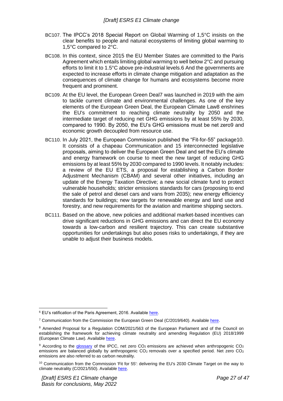- BC107. The IPCC's 2018 Special Report on Global Warming of 1,5°C insists on the clear benefits to people and natural ecosystems of limiting global warming to 1,5°C compared to 2°C.
- BC108. In this context, since 2015 the EU Member States are committed to the Paris Agreement which entails limiting global warming to well below 2°C and pursuing efforts to limit it to 1.5°C above pre-industrial levels.6 And the governments are expected to increase efforts in climate change mitigation and adaptation as the consequences of climate change for humans and ecosystems become more frequent and prominent.
- BC109. At the EU level, the European Green Deal7 was launched in 2019 with the aim to tackle current climate and environmental challenges. As one of the key elements of the European Green Deal, the European Climate Law8 enshrines the EU's commitment to reaching climate neutrality by 2050 and the intermediate target of reducing net GHG emissions by at least 55% by 2030, compared to 1990. By 2050, the EU's GHG emissions must be net zero9 and economic growth decoupled from resource use.
- BC110. In July 2021, the European Commission published the "Fit-for-55" [package1](https://ec.europa.eu/info/strategy/priorities-2019-2024/european-green-deal/delivering-european-green-deal_en)0. It consists of a chapeau [Communication](https://ec.europa.eu/info/sites/default/files/chapeau_communication.pdf) and 15 interconnected legislative proposals, aiming to deliver the European Green Deal and set the EU's climate and energy framework on course to meet the new target of reducing GHG emissions by at least 55% by 2030 compared to 1990 levels. It notably includes: a review of the EU ETS, a proposal for establishing a Carbon Border Adjustment Mechanism (CBAM) and several other initiatives, including an update of the Energy Taxation Directive; a new social climate fund to protect vulnerable households; stricter emissions standards for cars (proposing to end the sale of petrol and diesel cars and vans from 2035); new energy efficiency standards for buildings; new targets for renewable energy and land use and forestry, and new requirements for the aviation and maritime shipping sectors.
- BC111. Based on the above, new policies and additional market-based incentives can drive significant reductions in GHG emissions and can direct the EU economy towards a low-carbon and resilient trajectory. This can create substantive opportunities for undertakings but also poses risks to undertakings, if they are unable to adjust their business models.

<sup>&</sup>lt;sup>6</sup> EU's ratification of the Paris Agreement, 2016. Available [here.](https://eur-lex.europa.eu/legal-content/EN/TXT/?uri=CELEX%3A22016A1019%2801%29)

 $7$  Communication from the Commission the European Green Deal (C/2019/640). Available [here.](https://eur-lex.europa.eu/legal-content/EN/TXT/?qid=1588580774040&uri=CELEX%3A52019DC0640)

<sup>8</sup> Amended Proposal for a Regulation COM/2021/563 of the European Parliament and of the Council on establishing the framework for achieving climate neutrality and amending Regulation (EU) 2018/1999 (European Climate Law). Available [here.](https://eur-lex.europa.eu/legal-content/EN/TXT/?uri=CELEX:52020PC0563)

<sup>&</sup>lt;sup>9</sup> According to the [glossary](https://www.ipcc.ch/site/assets/uploads/sites/2/2019/06/SR15_AnnexI_Glossary.pdf) of the IPCC, net zero CO<sub>2</sub> emissions are achieved when anthropogenic CO<sub>2</sub> emissions are balanced globally by anthropogenic CO<sub>2</sub> removals over a specified period. Net zero CO<sub>2</sub> emissions are also referred to as carbon neutrality.

<sup>10</sup> Communication from the Commission 'Fit for 55': delivering the EU's 2030 Climate Target on the way to climate neutrality (C/2021/550). Available [here.](https://ec.europa.eu/info/sites/default/files/chapeau_communication.pdf)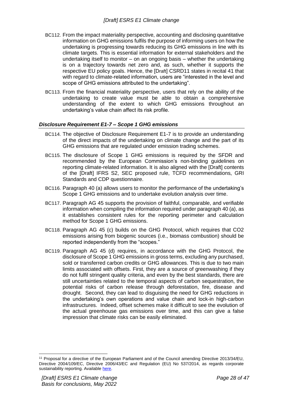- BC112. From the impact materiality perspective, accounting and disclosing quantitative information on GHG emissions fulfils the purpose of informing users on how the undertaking is progressing towards reducing its GHG emissions in line with its climate targets. This is essential information for external stakeholders and the undertaking itself to monitor – on an ongoing basis – whether the undertaking is on a trajectory towards net zero and, as such, whether it supports the respective EU policy goals. Hence, the [Draft] CSRD11 states in recital 41 that with regard to climate-related information, users are "interested in the level and scope of GHG emissions attributed to the undertaking".
- BC113. From the financial materiality perspective, users that rely on the ability of the undertaking to create value must be able to obtain a comprehensive understanding of the extent to which GHG emissions throughout an undertaking's value chain affect its risk profile.

#### <span id="page-27-0"></span>*Disclosure Requirement E1-7 – Scope 1 GHG emissions*

- BC114. The objective of Disclosure Requirement E1-7 is to provide an understanding of the direct impacts of the undertaking on climate change and the part of its GHG emissions that are regulated under emission trading schemes.
- BC115. The disclosure of Scope 1 GHG emissions is required by the SFDR and recommended by the European Commission's non-binding guidelines on reporting climate-related information. It is also aligned with the [Draft] contents of the [Draft] IFRS S2, SEC proposed rule, TCFD recommendations, GRI Standards and CDP questionnaire.
- BC116. Paragraph 40 (a) allows users to monitor the performance of the undertaking's Scope 1 GHG emissions and to undertake evolution analysis over time.
- BC117. Paragraph AG 45 supports the provision of faithful, comparable, and verifiable information when compiling the information required under paragraph 40 (a), as it establishes consistent rules for the reporting perimeter and calculation method for Scope 1 GHG emissions.
- BC118. Paragraph AG 45 (c) builds on the GHG Protocol, which requires that CO2 emissions arising from biogenic sources (i.e., biomass combustion) should be reported independently from the "scopes."
- BC119. Paragraph AG 45 (d) requires, in accordance with the GHG Protocol, the disclosure of Scope 1 GHG emissions in gross terms, excluding any purchased, sold or transferred carbon credits or GHG allowances. This is due to two main limits associated with offsets. First, they are a source of greenwashing if they do not fulfil stringent quality criteria, and even by the best standards, there are still uncertainties related to the temporal aspects of carbon sequestration, the potential risks of carbon release through deforestation, fire, disease and drought. Second, they can lead to disguising the need for GHG reductions in the undertaking's own operations and value chain and lock-in high-carbon infrastructures. Indeed, offset schemes make it difficult to see the evolution of the actual greenhouse gas emissions over time, and this can give a false impression that climate risks can be easily eliminated.

<sup>11</sup> Proposal for a directive of the European Parliament and of the Council amending Directive 2013/34/EU, Directive 2004/109/EC, Directive 2006/43/EC and Regulation (EU) No 537/2014, as regards corporate sustainability reporting. Available [here.](https://eur-lex.europa.eu/legal-content/EN/TXT/?uri=CELEX:52021PC0189)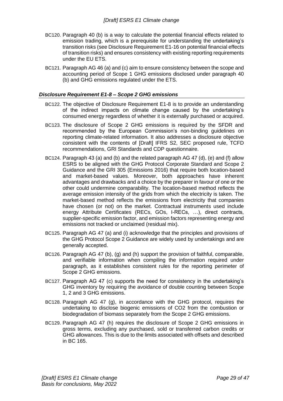- BC120. Paragraph 40 (b) is a way to calculate the potential financial effects related to emission trading, which is a prerequisite for understanding the undertaking's transition risks (see Disclosure Requirement E1-16 on potential financial effects of transition risks) and ensures consistency with existing reporting requirements under the EU ETS.
- BC121. Paragraph AG 46 (a) and (c) aim to ensure consistency between the scope and accounting period of Scope 1 GHG emissions disclosed under paragraph 40 (b) and GHG emissions regulated under the ETS.

#### <span id="page-28-0"></span>*Disclosure Requirement E1-8 – Scope 2 GHG emissions*

- BC122. The objective of Disclosure Requirement E1-8 is to provide an understanding of the indirect impacts on climate change caused by the undertaking's consumed energy regardless of whether it is externally purchased or acquired.
- BC123. The disclosure of Scope 2 GHG emissions is required by the SFDR and recommended by the European Commission's non-binding guidelines on reporting climate-related information. It also addresses a disclosure objective consistent with the contents of [Draft] IFRS S2, SEC proposed rule, TCFD recommendations, GRI Standards and CDP questionnaire.
- BC124. Paragraph 43 (a) and (b) and the related paragraph AG 47 (d), (e) and (f) allow ESRS to be aligned with the GHG Protocol Corporate Standard and Scope 2 Guidance and the GRI 305 (Emissions 2016) that require both location-based and market-based values. Moreover, both approaches have inherent advantages and drawbacks and a choice by the preparer in favour of one or the other could undermine comparability. The location-based method reflects the average emission intensity of the grids from which the electricity is taken. The market-based method reflects the emissions from electricity that companies have chosen (or not) on the market. Contractual instruments used include energy Attribute Certificates (RECs, GOs, I-RECs, …), direct contracts, supplier-specific emission factor, and emission factors representing energy and emissions not tracked or unclaimed (residual mix).
- BC125. Paragraph AG 47 (a) and (i) acknowledge that the principles and provisions of the GHG Protocol Scope 2 Guidance are widely used by undertakings and are generally accepted.
- BC126. Paragraph AG 47 (b), (g) and (h) support the provision of faithful, comparable, and verifiable information when compiling the information required under paragraph, as it establishes consistent rules for the reporting perimeter of Scope 2 GHG emissions.
- BC127. Paragraph AG 47 (c) supports the need for consistency in the undertaking's GHG inventory by requiring the avoidance of double counting between Scope 1, 2 and 3 GHG emissions.
- BC128. Paragraph AG 47 (g), in accordance with the GHG protocol, requires the undertaking to disclose biogenic emissions of CO2 from the combustion or biodegradation of biomass separately from the Scope 2 GHG emissions.
- BC129. Paragraph AG 47 (h) requires the disclosure of Scope 2 GHG emissions in gross terms, excluding any purchased, sold or transferred carbon credits or GHG allowances. This is due to the limits associated with offsets and described in BC 165.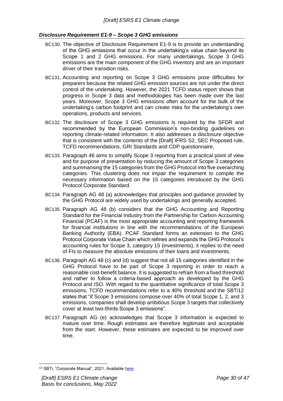#### <span id="page-29-0"></span>*Disclosure Requirement E1-9 – Scope 3 GHG emissions*

- BC130. The objective of Disclosure Requirement E1-9 is to provide an understanding of the GHG emissions that occur in the undertaking's value chain beyond its Scope 1 and 2 GHG emissions. For many undertakings, Scope 3 GHG emissions are the main component of the GHG inventory and are an important driver of their transition risks.
- BC131. Accounting and reporting on Scope 3 GHG emissions pose difficulties for preparers because the related GHG emission sources are not under the direct control of the undertaking. However, the 2021 TCFD status report shows that progress in Scope 3 data and methodologies has been made over the last years. Moreover, Scope 3 GHG emissions often account for the bulk of the undertaking's carbon footprint and can create risks for the undertaking's own operations, products and services.
- BC132. The disclosure of Scope 3 GHG emissions is required by the SFDR and recommended by the European Commission's non-binding guidelines on reporting climate-related information. It also addresses a disclosure objective that is consistent with the contents of the [Draft] IFRS S2, SEC Proposed rule, TCFD recommendations, GRI Standards and CDP questionnaire.
- BC133. Paragraph 46 aims to simplify Scope 3 reporting from a practical point of view and for purpose of presentation by reducing the amount of Scope 3 categories and summarising the 15 categories from the GHG Protocol into five overarching categories. This clustering does not impair the requirement to compile the necessary information based on the 15 categories introduced by the GHG Protocol Corporate Standard.
- BC134. Paragraph AG 48 (a) acknowledges that principles and guidance provided by the GHG Protocol are widely used by undertakings and generally accepted.
- BC135. Paragraph AG 48 (b) considers that the GHG Accounting and Reporting Standard for the Financial Industry from the Partnership for Carbon Accounting Financial (PCAF) is the most appropriate accounting and reporting framework for financial institutions in line with the recommendations of the European Banking Authority (EBA). PCAF Standard forms an extension to the GHG Protocol Corporate Value Chain which refines and expands the GHG Protocol's accounting rules for Scope 3, category 15 (investments), it replies to the need of FIs to measure the absolute emissions of their loans and investments.
- BC136. Paragraph AG 48 (c) and (d) suggest that not all 15 categories identified in the GHG Protocol have to be part of Scope 3 reporting in order to reach a reasonable cost-benefit balance. It is suggested to refrain from a fixed threshold and rather to follow a criteria-based approach as developed by the GHG Protocol and ISO. With regard to the quantitative significance of total Scope 3 emissions, TCFD recommendations refer to a 40% threshold and the SBTi12 states that "if Scope 3 emissions compose over 40% of total Scope 1, 2, and 3 emissions, companies shall develop ambitious Scope 3 targets that collectively cover at least two-thirds Scope 3 emissions".
- BC137. Paragraph AG (e) acknowledges that Scope 3 information is expected to mature over time. Rough estimates are therefore legitimate and acceptable from the start. However, these estimates are expected to be improved over time.

<sup>&</sup>lt;sup>12</sup> SBTi, "Corporate Manual", 2021. Available [here.](https://sciencebasedtargets.org/resources/?tab=develop#resource)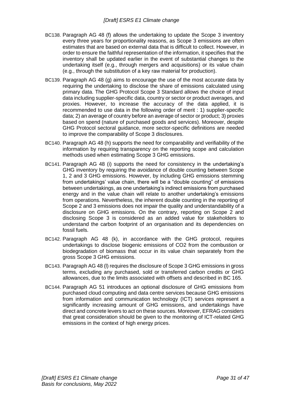- BC138. Paragraph AG 48 (f) allows the undertaking to update the Scope 3 inventory every three years for proportionality reasons, as Scope 3 emissions are often estimates that are based on external data that is difficult to collect. However, in order to ensure the faithful representation of the information, it specifies that the inventory shall be updated earlier in the event of substantial changes to the undertaking itself (e.g., through mergers and acquisitions) or its value chain (e.g., through the substitution of a key raw material for production).
- BC139. Paragraph AG 48 (g) aims to encourage the use of the most accurate data by requiring the undertaking to disclose the share of emissions calculated using primary data. The GHG Protocol Scope 3 Standard allows the choice of input data including supplier-specific data, country or sector or product averages, and proxies. However, to increase the accuracy of the data applied, it is recommended to use data in the following order of merit : 1) supplier-specific data; 2) an average of country before an average of sector or product; 3) proxies based on spend (nature of purchased goods and services). Moreover, despite GHG Protocol sectoral guidance, more sector-specific definitions are needed to improve the comparability of Scope 3 disclosures.
- BC140. Paragraph AG 48 (h) supports the need for comparability and verifiability of the information by requiring transparency on the reporting scope and calculation methods used when estimating Scope 3 GHG emissions.
- BC141. Paragraph AG 48 (i) supports the need for consistency in the undertaking's GHG inventory by requiring the avoidance of double counting between Scope 1, 2 and 3 GHG emissions. However, by including GHG emissions stemming from undertakings' value chain, there will be a "double counting" of emissions between undertakings, as one undertaking's indirect emissions from purchased energy and in the value chain will relate to another undertaking's emissions from operations. Nevertheless, the inherent double counting in the reporting of Scope 2 and 3 emissions does not impair the quality and understandability of a disclosure on GHG emissions. On the contrary, reporting on Scope 2 and disclosing Scope 3 is considered as an added value for stakeholders to understand the carbon footprint of an organisation and its dependencies on fossil fuels.
- BC142. Paragraph AG 48 (k), in accordance with the GHG protocol, requires undertakings to disclose biogenic emissions of CO2 from the combustion or biodegradation of biomass that occur in its value chain separately from the gross Scope 3 GHG emissions.
- BC143. Paragraph AG 48 (l) requires the disclosure of Scope 3 GHG emissions in gross terms, excluding any purchased, sold or transferred carbon credits or GHG allowances, due to the limits associated with offsets and described in BC 165.
- BC144. Paragraph AG 51 introduces an optional disclosure of GHG emissions from purchased cloud computing and data centre services because GHG emissions from information and communication technology (ICT) services represent a significantly increasing amount of GHG emissions, and undertakings have direct and concrete levers to act on these sources. Moreover, EFRAG considers that great consideration should be given to the monitoring of ICT-related GHG emissions in the context of high energy prices.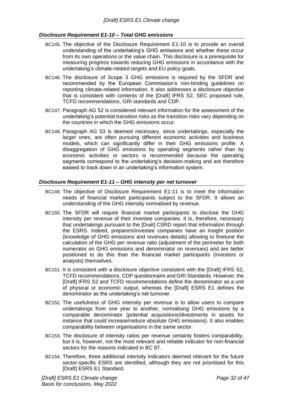#### <span id="page-31-0"></span>*Disclosure Requirement E1-10 – Total GHG emissions*

- BC145. The objective of the Disclosure Requirement E1-10 is to provide an overall understanding of the undertaking's GHG emissions and whether these occur from its own operations or the value chain. This disclosure is a prerequisite for measuring progress towards reducing GHG emissions in accordance with the undertaking's climate-related targets and EU policy goals.
- BC146. The disclosure of Scope 3 GHG emissions is required by the SFDR and recommended by the European Commission's non-binding guidelines on reporting climate-related information. It also addresses a disclosure objective that is consistent with contents of the [Draft] IFRS S2, SEC proposed rule, TCFD recommendations, GRI standards and CDP.
- BC147. Paragraph AG 52 is considered relevant information for the assessment of the undertaking's potential transition risks as the transition risks vary depending on the countries in which the GHG emissions occur.
- BC148. Paragraph AG 53 is deemed necessary, since undertakings, especially the larger ones, are often pursuing different economic activities and business models, which can significantly differ in their GHG emissions profile. A disaggregation of GHG emissions by operating segments rather than by economic activities or sectors is recommended because the operating segments correspond to the undertaking's decision-making and are therefore easiest to track down in an undertaking's information system.

#### <span id="page-31-1"></span>*Disclosure Requirement E1-11 – GHG intensity per net turnover*

- BC149. The objective of Disclosure Requirement E1-11 is to meet the information needs of financial market participants subject to the SFDR. It allows an understanding of the GHG intensity normalised by revenue.
- BC150. The SFDR will require financial market participants to disclose the GHG intensity per revenue of their investee companies. It is, therefore, necessary that undertakings pursuant to the [Draft] CSRD report that information through the ESRS. Indeed, preparers/investee companies have an insight position (knowledge of GHG emissions and revenues details) allowing to finetune the calculation of the GHG per revenue ratio (adjustment of the perimeter for both numerator on GHG emissions and denominator on revenues) and are better positioned to do this than the financial market participants (investors or analysts) themselves.
- BC151. It is consistent with a disclosure objective consistent with the [Draft] IFRS S2, TCFD recommendations, CDP questionnaire and GRI Standards. However, the [Draft] IFRS S2 and TCFD recommendations define the denominator as a unit of physical or economic output, whereas the [Draft] ESRS E1 defines the denominator as the undertaking's net turnover.
- BC152. The usefulness of GHG intensity per revenue is to allow users to compare undertakings from one year to another, normalising GHG emissions by a comparable denominator (potential acquisitions/divestments in assets for instance that could increase/reduce absolute GHG emissions). It also enables comparability between organisations in the same sector.
- BC153. The disclosure of intensity ratios per revenue certainly fosters comparability, but it is, however, not the most relevant and reliable indicator for non-financial sectors for the reasons indicated in BC 97.
- BC154. Therefore, three additional intensity indicators deemed relevant for the future sector-specific ESRS are identified, although they are not prioritised for this [Draft] ESRS E1 Standard.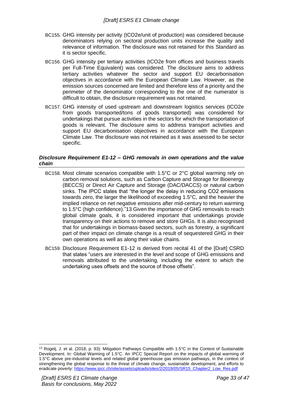- BC155. GHG intensity per activity (tCO2e/unit of production) was considered because denominators relying on sectoral production units increase the quality and relevance of information. The disclosure was not retained for this Standard as it is sector specific.
- BC156. GHG intensity per tertiary activities (tCO2e from offices and business travels per Full-Time Equivalent) was considered. The disclosure aims to address tertiary activities whatever the sector and support EU decarbonisation objectives in accordance with the European Climate Law. However, as the emission sources concerned are limited and therefore less of a priority and the perimeter of the denominator corresponding to the one of the numerator is difficult to obtain, the disclosure requirement was not retained.
- BC157. GHG intensity of used upstream and downstream logistics services (tCO2e from goods transported/tons of goods transported) was considered for undertakings that pursue activities in the sectors for which the transportation of goods is relevant. The disclosure aims to address transport activities and support EU decarbonisation objectives in accordance with the European Climate Law. The disclosure was not retained as it was assessed to be sector specific.

#### <span id="page-32-0"></span>*Disclosure Requirement E1-12 – GHG removals in own operations and the value chain*

- BC158. Most climate scenarios compatible with 1.5°C or 2°C global warming rely on carbon removal solutions, such as Carbon Capture and Storage for Bioenergy (BECCS) or Direct Air Capture and Storage (DAC/DACCS) or natural carbon sinks. The IPCC states that "the longer the delay in reducing CO2 emissions towards zero, the larger the likelihood of exceeding 1.5°C, and the heavier the implied reliance on net negative emissions after mid-century to return warming to 1.5°C (high confidence)."13 Given the importance of GHG removals to reach global climate goals, it is considered important that undertakings provide transparency on their actions to remove and store GHGs. It is also recognised that for undertakings in biomass-based sectors, such as forestry, a significant part of their impact on climate change is a result of sequestered GHG in their own operations as well as along their value chains.
- BC159. Disclosure Requirement E1-12 is derived from recital 41 of the [Draft] CSRD that states "users are interested in the level and scope of GHG emissions and removals attributed to the undertaking, including the extent to which the undertaking uses offsets and the source of those offsets".

<sup>13</sup> Rogeli, J. et al. (2018, p. 93): Mitigation Pathways Compatible with 1.5°C in the Context of Sustainable Development. In: Global Warming of 1.5°C. An IPCC Special Report on the impacts of global warming of 1.5°C above pre-industrial levels and related global greenhouse gas emission pathways, in the context of strengthening the global response to the threat of climate change, sustainable development, and efforts to eradicate poverty: [https://www.ipcc.ch/site/assets/uploads/sites/2/2019/05/SR15\\_Chapter2\\_Low\\_Res.pdf](https://www.ipcc.ch/site/assets/uploads/sites/2/2019/05/SR15_Chapter2_Low_Res.pdf)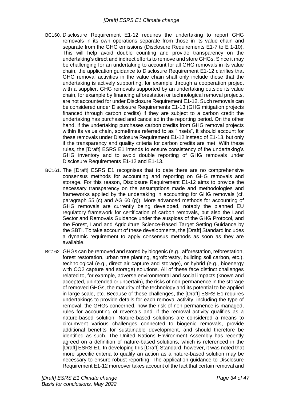- BC160. Disclosure Requirement E1-12 requires the undertaking to report GHG removals in its own operations separate from those in its value chain and separate from the GHG emissions (Disclosure Requirements E1-7 to E 1-10). This will help avoid double counting and provide transparency on the undertaking's direct and indirect efforts to remove and store GHGs. Since it may be challenging for an undertaking to account for all GHG removals in its value chain, the application guidance to Disclosure Requirement E1-12 clarifies that GHG removal activities in the value chain shall only include those that the undertaking is actively supporting, for example through a cooperation project with a supplier. GHG removals supported by an undertaking outside its value chain, for example by financing afforestation or technological removal projects, are not accounted for under Disclosure Requirement E1-12. Such removals can be considered under Disclosure Requirements E1-13 (GHG mitigation projects financed through carbon credits) if they are subject to a carbon credit the undertaking has purchased and cancelled in the reporting period. On the other hand, if the undertaking purchases carbon credits from GHG removal projects within its value chain, sometimes referred to as "insets", it should account for these removals under Disclosure Requirement E1-12 instead of E1-13, but only if the transparency and quality criteria for carbon credits are met. With these rules, the [Draft] ESRS E1 intends to ensure consistency of the undertaking's GHG inventory and to avoid double reporting of GHG removals under Disclosure Requirements E1-12 and E1-13.
- BC161. The [Draft] ESRS E1 recognises that to date there are no comprehensive consensus methods for accounting and reporting on GHG removals and storage. For this reason, Disclosure Requirement E1-12 aims to provide the necessary transparency on the assumptions made and methodologies and frameworks applied by the undertaking in accounting for GHG removals (cf. paragraph 55 (c) and AG 60 (g)). More advanced methods for accounting of GHG removals are currently being developed, notably the planned EU regulatory framework for certification of carbon removals, but also the Land Sector and Removals Guidance under the auspices of the GHG Protocol, and the Forest, Land and Agriculture Science-Based Target Setting Guidance by the SBTi. To take account of these developments, the [Draft] Standard includes a dynamic requirement to apply consensus methods as soon as they are available.
- BC162. GHGs can be removed and stored by biogenic (e.g., afforestation, reforestation, forest restoration, urban tree planting, agroforestry, building soil carbon, etc.), technological (e.g., direct air capture and storage), or hybrid (e.g., bioenergy with CO2 capture and storage) solutions. All of these face distinct challenges related to, for example, adverse environmental and social impacts (known and accepted, unintended or uncertain), the risks of non-permanence in the storage of removed GHGs, the maturity of the technology and its potential to be applied in large scale, etc. Because of these challenges, the [Draft] ESRS E1 requires undertakings to provide details for each removal activity, including the type of removal, the GHGs concerned, how the risk of non-permanence is managed, rules for accounting of reversals and, if the removal activity qualifies as a nature-based solution. Nature-based solutions are considered a means to circumvent various challenges connected to biogenic removals, provide additional benefits for sustainable development, and should therefore be identified as such. The United Nations Environment Assembly has recently agreed on a definition of nature-based solutions, which is referenced in the [Draft] ESRS E1. In developing this [Draft] Standard, however, it was noted that more specific criteria to qualify an action as a nature-based solution may be necessary to ensure robust reporting. The application guidance to Disclosure Requirement E1-12 moreover takes account of the fact that certain removal and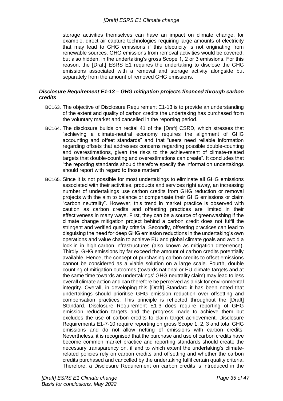#### *[Draft] ESRS E1 Climate change*

storage activities themselves can have an impact on climate change, for example, direct air capture technologies requiring large amounts of electricity that may lead to GHG emissions if this electricity is not originating from renewable sources. GHG emissions from removal activities would be covered, but also hidden, in the undertaking's gross Scope 1, 2 or 3 emissions. For this reason, the [Draft] ESRS E1 requires the undertaking to disclose the GHG emissions associated with a removal and storage activity alongside but separately from the amount of removed GHG emissions.

#### <span id="page-34-0"></span>*Disclosure Requirement E1-13 – GHG mitigation projects financed through carbon credits*

- BC163. The objective of Disclosure Requirement E1-13 is to provide an understanding of the extent and quality of carbon credits the undertaking has purchased from the voluntary market and cancelled in the reporting period.
- BC164. The disclosure builds on recital 41 of the [Draft] CSRD, which stresses that "achieving a climate-neutral economy requires the alignment of GHG accounting and offset standards" and that "users need reliable information regarding offsets that addresses concerns regarding possible double-counting and overestimations, given the risks to the achievement of climate-related targets that double-counting and overestimations can create". It concludes that "the reporting standards should therefore specify the information undertakings should report with regard to those matters".
- BC165. Since it is not possible for most undertakings to eliminate all GHG emissions associated with their activities, products and services right away, an increasing number of undertakings use carbon credits from GHG reduction or removal projects with the aim to balance or compensate their GHG emissions or claim "carbon neutrality". However, this trend in market practice is observed with caution as carbon credits and offsetting practices are limited in their effectiveness in many ways. First, they can be a source of greenwashing if the climate change mitigation project behind a carbon credit does not fulfil the stringent and verified quality criteria. Secondly, offsetting practices can lead to disguising the need for deep GHG emission reductions in the undertaking's own operations and value chain to achieve EU and global climate goals and avoid a lock-in in high-carbon infrastructures (also known as mitigation deterrence). Thirdly, GHG emissions by far exceed the amount of carbon credits potentially available. Hence, the concept of purchasing carbon credits to offset emissions cannot be considered as a viable solution on a large scale. Fourth, double counting of mitigation outcomes (towards national or EU climate targets and at the same time towards an undertakings' GHG neutrality claim) may lead to less overall climate action and can therefore be perceived as a risk for environmental integrity. Overall, in developing this [Draft] Standard it has been noted that undertakings should prioritise GHG emission reduction over offsetting and compensation practices. This principle is reflected throughout the [Draft] Standard. Disclosure Requirement E1-3 does require reporting of GHG emission reduction targets and the progress made to achieve them but excludes the use of carbon credits to claim target achievement. Disclosure Requirements E1-7-10 require reporting on gross Scope 1, 2, 3 and total GHG emissions and do not allow netting of emissions with carbon credits. Nevertheless, it is recognised that the purchase and use of carbon credits have become common market practice and reporting standards should create the necessary transparency on, if and to which extent the undertaking's climaterelated policies rely on carbon credits and offsetting and whether the carbon credits purchased and cancelled by the undertaking fulfil certain quality criteria. Therefore, a Disclosure Requirement on carbon credits is introduced in the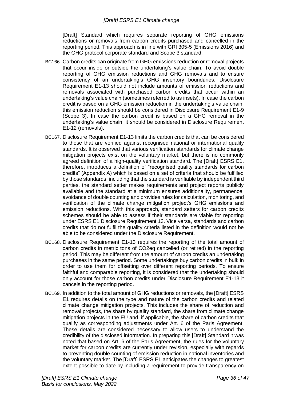#### *[Draft] ESRS E1 Climate change*

[Draft] Standard which requires separate reporting of GHG emissions reductions or removals from carbon credits purchased and cancelled in the reporting period. This approach is in line with GRI 305-5 (Emissions 2016) and the GHG protocol corporate standard and Scope 3 standard.

- BC166. Carbon credits can originate from GHG emissions reduction or removal projects that occur inside or outside the undertaking's value chain. To avoid double reporting of GHG emission reductions and GHG removals and to ensure consistency of an undertaking's GHG inventory boundaries, Disclosure Requirement E1-13 should not include amounts of emission reductions and removals associated with purchased carbon credits that occur within an undertaking's value chain (sometimes referred to as insets). In case the carbon credit is based on a GHG emission reduction in the undertaking's value chain, this emission reduction should be considered in Disclosure Requirement E1-9 (Scope 3). In case the carbon credit is based on a GHG removal in the undertaking's value chain, it should be considered in Disclosure Requirement E1-12 (removals).
- BC167. Disclosure Requirement E1-13 limits the carbon credits that can be considered to those that are verified against recognised national or international quality standards. It is observed that various verification standards for climate change mitigation projects exist on the voluntary market, but there is no commonly agreed definition of a high-quality verification standard. The [Draft] ESRS E1, therefore, introduces a definition of "recognised quality standards for carbon credits" (Appendix A) which is based on a set of criteria that should be fulfilled by those standards, including that the standard is verifiable by independent third parties, the standard setter makes requirements and project reports publicly available and the standard at a minimum ensures additionality, permanence, avoidance of double counting and provides rules for calculation, monitoring, and verification of the climate change mitigation project's GHG emissions and emission reductions. With this approach, standard setters for carbon credits schemes should be able to assess if their standards are viable for reporting under ESRS E1 Disclosure Requirement 13. Vice versa, standards and carbon credits that do not fulfil the quality criteria listed in the definition would not be able to be considered under the Disclosure Requirement.
- BC168. Disclosure Requirement E1-13 requires the reporting of the total amount of carbon credits in metric tons of CO2eq cancelled (or retired) in the reporting period. This may be different from the amount of carbon credits an undertaking purchases in the same period. Some undertakings buy carbon credits in bulk in order to use them for offsetting over different reporting periods. To ensure faithful and comparable reporting, it is considered that the undertaking should only account for those carbon credits under Disclosure Requirement E1-13 it cancels in the reporting period.
- BC169. In addition to the total amount of GHG reductions or removals, the [Draft] ESRS E1 requires details on the type and nature of the carbon credits and related climate change mitigation projects. This includes the share of reduction and removal projects, the share by quality standard, the share from climate change mitigation projects in the EU and, if applicable, the share of carbon credits that qualify as corresponding adjustments under Art. 6 of the Paris Agreement. These details are considered necessary to allow users to understand the credibility of the disclosed information. In preparing this [Draft] Standard it was noted that based on Art. 6 of the Paris Agreement, the rules for the voluntary market for carbon credits are currently under revision, especially with regards to preventing double counting of emission reduction in national inventories and the voluntary market. The [Draft] ESRS E1 anticipates the changes to greatest extent possible to date by including a requirement to provide transparency on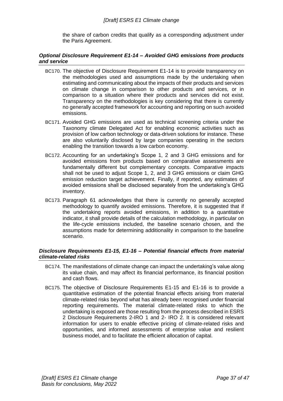the share of carbon credits that qualify as a corresponding adjustment under the Paris Agreement.

#### <span id="page-36-0"></span>*Optional Disclosure Requirement E1-14 – Avoided GHG emissions from products and service*

- BC170. The objective of Disclosure Requirement E1-14 is to provide transparency on the methodologies used and assumptions made by the undertaking when estimating and communicating about the impacts of their products and services on climate change in comparison to other products and services, or in comparison to a situation where their products and services did not exist. Transparency on the methodologies is key considering that there is currently no generally accepted framework for accounting and reporting on such avoided emissions.
- BC171. Avoided GHG emissions are used as technical screening criteria under the Taxonomy climate Delegated Act for enabling economic activities such as provision of low carbon technology or data-driven solutions for instance. These are also voluntarily disclosed by large companies operating in the sectors enabling the transition towards a low carbon economy.
- BC172. Accounting for an undertaking's Scope 1, 2 and 3 GHG emissions and for avoided emissions from products based on comparative assessments are fundamentally different but complementary concepts. Comparative impacts shall not be used to adjust Scope 1, 2, and 3 GHG emissions or claim GHG emission reduction target achievement. Finally, if reported, any estimates of avoided emissions shall be disclosed separately from the undertaking's GHG inventory.
- BC173. Paragraph 61 acknowledges that there is currently no generally accepted methodology to quantify avoided emissions. Therefore, it is suggested that if the undertaking reports avoided emissions, in addition to a quantitative indicator, it shall provide details of the calculation methodology, in particular on the life-cycle emissions included, the baseline scenario chosen, and the assumptions made for determining additionality in comparison to the baseline scenario.

#### <span id="page-36-1"></span>*Disclosure Requirements E1-15, E1-16 – Potential financial effects from material climate-related risks*

- BC174. The manifestations of climate change can impact the undertaking's value along its value chain, and may affect its financial performance, its financial position and cash flows.
- BC175. The objective of Disclosure Requirements E1-15 and E1-16 is to provide a quantitative estimation of the potential financial effects arising from material climate-related risks beyond what has already been recognised under financial reporting requirements. The material climate-related risks to which the undertaking is exposed are those resulting from the process described in ESRS 2 Disclosure Requirements 2-IRO 1 and 2- IRO 2. It is considered relevant information for users to enable effective pricing of climate-related risks and opportunities, and informed assessments of enterprise value and resilient business model, and to facilitate the efficient allocation of capital.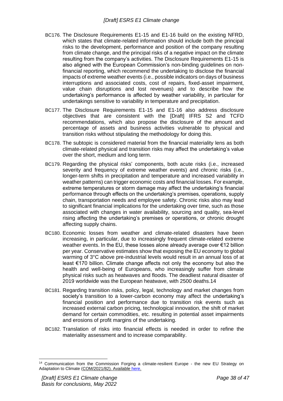- BC176. The Disclosure Requirements E1-15 and E1-16 build on the existing NFRD, which states that climate-related information should include both the principal risks to the development, performance and position of the company resulting from climate change, and the principal risks of a negative impact on the climate resulting from the company's activities. The Disclosure Requirements E1-15 is also aligned with the European Commission's non-binding guidelines on nonfinancial reporting, which recommend the undertaking to disclose the financial impacts of extreme weather events (i.e., possible indicators on days of business interruptions and associated costs, cost of repairs, fixed-asset impairment, value chain disruptions and lost revenues) and to describe how the undertaking's performance is affected by weather variability, in particular for undertakings sensitive to variability in temperature and precipitation.
- BC177. The Disclosure Requirements E1-15 and E1-16 also address disclosure objectives that are consistent with the [Draft] IFRS S2 and TCFD recommendations, which also propose the disclosure of the amount and percentage of assets and business activities vulnerable to physical and transition risks without stipulating the methodology for doing this.
- BC178. The subtopic is considered material from the financial materiality lens as both climate-related physical and transition risks may affect the undertaking's value over the short, medium and long term.
- BC179. Regarding the physical risks' components, both acute risks (i.e., increased severity and frequency of extreme weather events) and chronic risks (i.e., longer-term shifts in precipitation and temperature and increased variability in weather patterns) can trigger economic costs and financial losses. For example, extreme temperatures or storm damage may affect the undertaking's financial performance through effects on the undertaking's premises, operations, supply chain, transportation needs and employee safety. Chronic risks also may lead to significant financial implications for the undertaking over time, such as those associated with changes in water availability, sourcing and quality, sea-level rising affecting the undertaking's premises or operations, or chronic drought affecting supply chains.
- BC180. Economic losses from weather and climate-related disasters have been increasing, in particular, due to increasingly frequent climate-related extreme weather events. In the EU, these losses alone already average over €12 billion per year. Conservative estimates show that exposing the EU economy to global warming of 3°C above pre-industrial levels would result in an annual loss of at least €170 billion. Climate change affects not only the economy but also the health and well-being of Europeans, who increasingly suffer from climate physical risks such as heatwaves and floods. The deadliest natural disaster of 2019 worldwide was the European heatwave, with 2500 deaths.14
- BC181. Regarding transition risks, policy, legal, technology and market changes from society's transition to a lower-carbon economy may affect the undertaking's financial position and performance due to transition risk events such as increased external carbon pricing, technological innovation, the shift of market demand for certain commodities, etc. resulting in potential asset impairments and erosions of profit margins of the undertaking.
- BC182. Translation of risks into financial effects is needed in order to refine the materiality assessment and to increase comparability.

<sup>&</sup>lt;sup>14</sup> Communication from the Commission Forging a climate-resilient Europe - the new EU Strategy on Adaptation to Climate (COM/2021/82). Available [here.](https://ec.europa.eu/clima/sites/clima/files/adaptation/what/docs/eu_strategy_2021.pdf)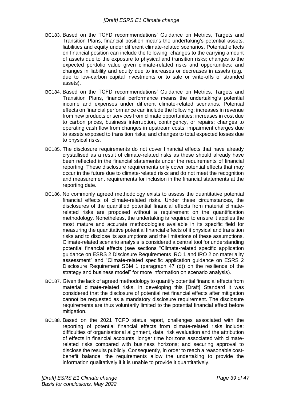- BC183. Based on the TCFD recommendations' Guidance on Metrics, Targets and Transition Plans, financial position means the undertaking's potential assets, liabilities and equity under different climate-related scenarios. Potential effects on financial position can include the following: changes to the carrying amount of assets due to the exposure to physical and transition risks; changes to the expected portfolio value given climate-related risks and opportunities; and changes in liability and equity due to increases or decreases in assets (e.g., due to low-carbon capital investments or to sale or write-offs of stranded assets).
- BC184. Based on the TCFD recommendations' Guidance on Metrics, Targets and Transition Plans, financial performance means the undertaking's potential income and expenses under different climate-related scenarios. Potential effects on financial performance can include the following: increases in revenue from new products or services from climate opportunities; increases in cost due to carbon prices, business interruption, contingency, or repairs; changes to operating cash flow from changes in upstream costs; impairment charges due to assets exposed to transition risks; and changes to total expected losses due to physical risks.
- BC185. The disclosure requirements do not cover financial effects that have already crystallised as a result of climate-related risks as these should already have been reflected in the financial statements under the requirements of financial reporting. These disclosure requirements only cover potential effects that may occur in the future due to climate-related risks and do not meet the recognition and measurement requirements for inclusion in the financial statements at the reporting date.
- BC186. No commonly agreed methodology exists to assess the quantitative potential financial effects of climate-related risks. Under these circumstances, the disclosures of the quantified potential financial effects from material climaterelated risks are proposed without a requirement on the quantification methodology. Nonetheless, the undertaking is required to ensure it applies the most mature and accurate methodologies available in its specific field for measuring the quantitative potential financial effects of it physical and transition risks and to disclose its assumptions and the limitations of these assumptions. Climate-related scenario analysis is considered a central tool for understanding potential financial effects (see sections "Climate-related specific application guidance on ESRS 2 Disclosure Requirements IRO 1 and IRO 2 on materiality assessment" and "Climate-related specific application guidance on ESRS 2 Disclosure Requirement SBM 1 (paragraph 47 (d)) on the resilience of the strategy and business model" for more information on scenario analysis).
- BC187. Given the lack of agreed methodology to quantify potential financial effects from material climate-related risks, in developing this [Draft] Standard it was considered that the disclosure of potential net financial effects after mitigation cannot be requested as a mandatory disclosure requirement. The disclosure requirements are thus voluntarily limited to the potential financial effect before mitigation.
- BC188. Based on the 2021 TCFD status report, challenges associated with the reporting of potential financial effects from climate-related risks include: difficulties of organisational alignment, data, risk evaluation and the attribution of effects in financial accounts; longer time horizons associated with climaterelated risks compared with business horizons; and securing approval to disclose the results publicly. Consequently, in order to reach a reasonable costbenefit balance, the requirements allow the undertaking to provide the information qualitatively if it is unable to provide it quantitatively.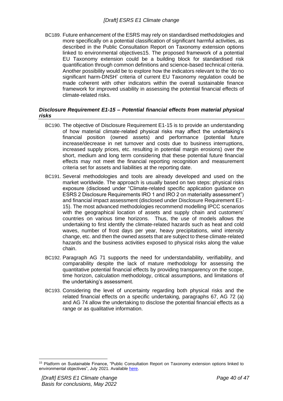BC189. Future enhancement of the ESRS may rely on standardised methodologies and more specifically on a potential classification of significant harmful activities, as described in the Public Consultation Report on Taxonomy extension options linked to environmental objectives15. The proposed framework of a potential EU Taxonomy extension could be a building block for standardised risk quantification through common definitions and science-based technical criteria. Another possibility would be to explore how the indicators relevant to the 'do no significant harm-DNSH' criteria of current EU Taxonomy regulation could be made coherent with other indicators within the overall sustainable finance framework for improved usability in assessing the potential financial effects of climate-related risks.

#### <span id="page-39-0"></span>*Disclosure Requirement E1-15 – Potential financial effects from material physical risks*

- BC190. The objective of Disclosure Requirement E1-15 is to provide an understanding of how material climate-related physical risks may affect the undertaking's financial position (owned assets) and performance (potential future increase/decrease in net turnover and costs due to business interruptions, increased supply prices, etc. resulting in potential margin erosions) over the short, medium and long term considering that these potential future financial effects may not meet the financial reporting recognition and measurement criteria set for assets and liabilities at the reporting date.
- BC191. Several methodologies and tools are already developed and used on the market worldwide. The approach is usually based on two steps: physical risks exposure (disclosed under "Climate-related specific application guidance on ESRS 2 Disclosure Requirements IRO 1 and IRO 2 on materiality assessment") and financial impact assessment (disclosed under Disclosure Requirement E1- 15). The most advanced methodologies recommend modelling IPCC scenarios with the geographical location of assets and supply chain and customers' countries on various time horizons. Thus, the use of models allows the undertaking to first identify the climate-related hazards such as heat and cold waves, number of frost days per year, heavy precipitations, wind intensity change, etc. and then the owned assets that are subject to these climate-related hazards and the business activities exposed to physical risks along the value chain.
- BC192. Paragraph AG 71 supports the need for understandability, verifiability, and comparability despite the lack of mature methodology for assessing the quantitative potential financial effects by providing transparency on the scope, time horizon, calculation methodology, critical assumptions, and limitations of the undertaking's assessment.
- BC193. Considering the level of uncertainty regarding both physical risks and the related financial effects on a specific undertaking, paragraphs 67, AG 72 (a) and AG 74 allow the undertaking to disclose the potential financial effects as a range or as qualitative information.

<sup>15</sup> [Platform](ttps://ec.europa.eu/info/sites/default/files/business_economy_euro/banking_and_finance/documents/sustainable-finance-platform-report-taxonomy-extension-july2021_en.pdf) on Sustainable Finance, "Public Consultation Report on Taxonomy extension options linked to environmental objectives", July 2021. Available [here.](https://ec.europa.eu/info/sites/default/files/business_economy_euro/banking_and_finance/documents/sustainable-finance-platform-report-taxonomy-extension-july2021_en.pdf)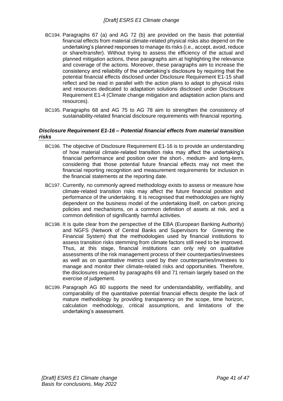- BC194. Paragraphs 67 (a) and AG 72 (b) are provided on the basis that potential financial effects from material climate-related physical risks also depend on the undertaking's planned responses to manage its risks (i.e., accept, avoid, reduce or share/transfer). Without trying to assess the efficiency of the actual and planned mitigation actions, these paragraphs aim at highlighting the relevance and coverage of the actions. Moreover, these paragraphs aim to increase the consistency and reliability of the undertaking's disclosure by requiring that the potential financial effects disclosed under Disclosure Requirement E1-15 shall reflect and be read in parallel with the action plans to adapt to physical risks and resources dedicated to adaptation solutions disclosed under Disclosure Requirement E1-4 (Climate change mitigation and adaptation action plans and resources).
- BC195. Paragraphs 68 and AG 75 to AG 78 aim to strengthen the consistency of sustainability-related financial disclosure requirements with financial reporting.

#### <span id="page-40-0"></span>*Disclosure Requirement E1-16 – Potential financial effects from material transition risks*

- BC196. The objective of Disclosure Requirement E1-16 is to provide an understanding of how material climate-related transition risks may affect the undertaking's financial performance and position over the short-, medium- and long-term, considering that those potential future financial effects may not meet the financial reporting recognition and measurement requirements for inclusion in the financial statements at the reporting date.
- BC197. Currently, no commonly agreed methodology exists to assess or measure how climate-related transition risks may affect the future financial position and performance of the undertaking. It is recognised that methodologies are highly dependent on the business model of the undertaking itself, on carbon pricing policies and mechanisms, on a common definition of assets at risk, and a common definition of significantly harmful activities.
- BC198. It is quite clear from the perspective of the EBA (European Banking Authority) and NGFS (Network of Central Banks and Supervisors for Greening the Financial System) that the methodologies used by financial institutions to assess transition risks stemming from climate factors still need to be improved. Thus, at this stage, financial institutions can only rely on qualitative assessments of the risk management process of their counterparties/investees as well as on quantitative metrics used by their counterparties/investees to manage and monitor their climate-related risks and opportunities. Therefore, the disclosures required by paragraphs 69 and 71 remain largely based on the exercise of judgement.
- BC199. Paragraph AG 80 supports the need for understandability, verifiability, and comparability of the quantitative potential financial effects despite the lack of mature methodology by providing transparency on the scope, time horizon, calculation methodology, critical assumptions, and limitations of the undertaking's assessment.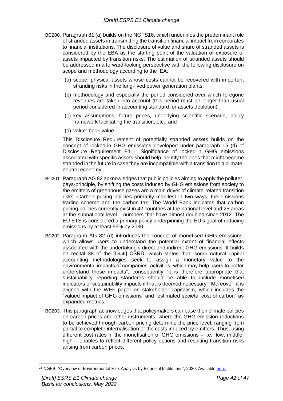- BC200. Paragraph 81 (a) builds on the NGFS16, which underlines the predominant role of stranded assets in transmitting the transition financial impact from corporates to financial institutions. The disclosure of value and share of stranded assets is considered by the EBA as the starting point of the valuation of exposure of assets impacted by transition risks. The estimation of stranded assets should be addressed in a forward-looking perspective with the following disclosure on scope and methodology according to the IEA:
	- (a) scope: physical assets whose costs cannot be recovered with important stranding risks in the long-lived power generation plants,
	- (b) methodology and especially the period considered over which foregone revenues are taken into account (this period must be longer than usual period considered in accounting standard for assets depletion);
	- (c) key assumptions: future prices, underlying scientific scenario, policy framework facilitating the transition, etc.; and
	- (d) value: book value.

This Disclosure Requirement of potentially stranded assets builds on the concept of locked-in GHG emissions developed under paragraph 15 (d) of Disclosure Requirement E1-1. Significance of locked-in GHG emissions associated with specific assets should help identify the ones that might become stranded in the future in case they are incompatible with a transition to a climateneutral economy.

- BC201. Paragraph AG 82 acknowledges that public policies aiming to apply the polluterpays-principle, by shifting the costs induced by GHG emissions from society to the emitters of greenhouse gases are a main driver of climate-related transition risks. Carbon pricing policies primarily manifest in two ways: the emissions trading scheme and the carbon tax. The World Bank indicates that carbon pricing policies currently exist in 42 countries at the national level and 25 areas at the subnational level – numbers that have almost doubled since 2012. The EU ETS is considered a primary policy underpinning the EU's goal of reducing emissions by at least 55% by 2030.
- BC202. Paragraph AG 82 (d) introduces the concept of monetised GHG emissions, which allows users to understand the potential extent of financial effects associated with the undertaking's direct and indirect GHG emissions. It builds on recital 38 of the [Draft] CSRD, which states that "some natural capital accounting methodologies seek to assign a monetary value to the environmental impacts of companies' activities, which may help users to better understand those impacts", consequently "it is therefore appropriate that sustainability reporting standards should be able to include monetised indicators of sustainability impacts if that is deemed necessary". Moreover, it is aligned with the WEF paper on stakeholder capitalism, which includes the "valued impact of GHG emissions" and "estimated societal cost of carbon" as expanded metrics.
- BC203. This paragraph acknowledges that policymakers can base their climate policies on carbon prices and other instruments, where the GHG emission reductions to be achieved through carbon pricing determine the price level, ranging from partial to complete internalisation of the costs induced by emitters. Thus, using different cost rates in the monetisation of GHG emissions – i.e., low, middle, high – enables to reflect different policy options and resulting transition risks arising from carbon prices.

<sup>&</sup>lt;sup>16</sup> NGFS, "Overview of Environmental Risk Analysis by Financial Institutions", 2020. Available [here.](https://www.ngfs.net/sites/default/files/medias/documents/overview_of_environmental_risk_analysis_by_financial_institutions.pdf)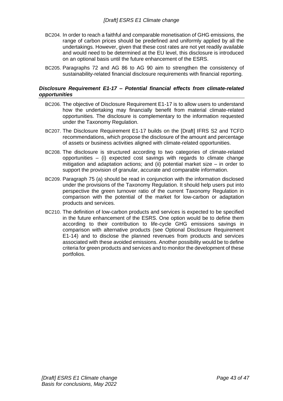- BC204. In order to reach a faithful and comparable monetisation of GHG emissions, the range of carbon prices should be predefined and uniformly applied by all the undertakings. However, given that these cost rates are not yet readily available and would need to be determined at the EU level, this disclosure is introduced on an optional basis until the future enhancement of the ESRS.
- BC205. Paragraphs 72 and AG 86 to AG 90 aim to strengthen the consistency of sustainability-related financial disclosure requirements with financial reporting.

#### <span id="page-42-0"></span>*Disclosure Requirement E1-17 – Potential financial effects from climate-related opportunities*

- BC206. The objective of Disclosure Requirement E1-17 is to allow users to understand how the undertaking may financially benefit from material climate-related opportunities. The disclosure is complementary to the information requested under the Taxonomy Regulation.
- BC207. The Disclosure Requirement E1-17 builds on the [Draft] IFRS S2 and TCFD recommendations, which propose the disclosure of the amount and percentage of assets or business activities aligned with climate-related opportunities.
- BC208. The disclosure is structured according to two categories of climate-related opportunities – (i) expected cost savings with regards to climate change mitigation and adaptation actions; and (ii) potential market size – in order to support the provision of granular, accurate and comparable information.
- BC209. Paragraph 75 (a) should be read in conjunction with the information disclosed under the provisions of the Taxonomy Regulation. It should help users put into perspective the green turnover ratio of the current Taxonomy Regulation in comparison with the potential of the market for low-carbon or adaptation products and services.
- BC210. The definition of low-carbon products and services is expected to be specified in the future enhancement of the ESRS. One option would be to define them according to their contribution to life-cycle GHG emissions savings in comparison with alternative products (see Optional Disclosure Requirement E1-14) and to disclose the planned revenues from products and services associated with these avoided emissions. Another possibility would be to define criteria for green products and services and to monitor the development of these portfolios.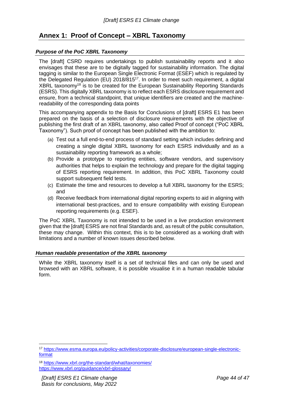# <span id="page-43-0"></span>**Annex 1: Proof of Concept – XBRL Taxonomy**

#### *Purpose of the PoC XBRL Taxonomy*

The [draft] CSRD requires undertakings to publish sustainability reports and it also envisages that these are to be digitally tagged for sustainability information. The digital tagging is similar to the European Single Electronic Format (ESEF) which is regulated by the Delegated Regulation (EU) 2018/815<sup>17</sup>. In order to meet such requirement, a digital  $XBRL$  taxonomy<sup>18</sup> is to be created for the European Sustainability Reporting Standards (ESRS). This digitally XBRL taxonomy is to reflect each ESRS disclosure requirement and ensure, from a technical standpoint, that unique identifiers are created and the machinereadability of the corresponding data points

This accompanying appendix to the Basis for Conclusions of [draft] ESRS E1 has been prepared on the basis of a selection of disclosure requirements with the objective of publishing the first draft of an XBRL taxonomy, also called Proof of concept ("PoC XBRL Taxonomy"). Such proof of concept has been published with the ambition to:

- (a) Test out a full end-to-end process of standard setting which includes defining and creating a single digital XBRL taxonomy for each ESRS individually and as a sustainability reporting framework as a whole;
- (b) Provide a prototype to reporting entities, software vendors, and supervisory authorities that helps to explain the technology and prepare for the digital tagging of ESRS reporting requirement. In addition, this PoC XBRL Taxonomy could support subsequent field tests.
- (c) Estimate the time and resources to develop a full XBRL taxonomy for the ESRS; and
- (d) Receive feedback from international digital reporting experts to aid in aligning with international best-practices, and to ensure compatibility with existing European reporting requirements (e.g. ESEF).

The PoC XBRL Taxonomy is not intended to be used in a live production environment given that the [draft] ESRS are not final Standards and, as result of the public consultation, these may change. Within this context, this is to be considered as a working draft with limitations and a number of known issues described below.

#### *Human readable presentation of the XBRL taxonomy*

While the XBRL taxonomy itself is a set of technical files and can only be used and browsed with an XBRL software, it is possible visualise it in a human readable tabular form.

<sup>17</sup> [https://www.esma.europa.eu/policy-activities/corporate-disclosure/european-single-electronic](https://www.esma.europa.eu/policy-activities/corporate-disclosure/european-single-electronic-format)[format](https://www.esma.europa.eu/policy-activities/corporate-disclosure/european-single-electronic-format)

<sup>18</sup> <https://www.xbrl.org/the-standard/what/taxonomies/> <https://www.xbrl.org/guidance/xbrl-glossary/>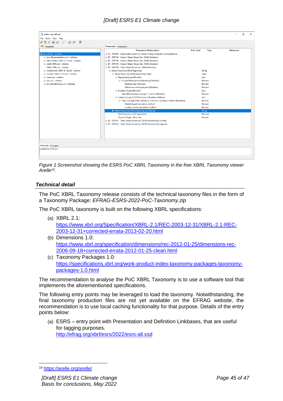

*Figure 1 Screenshot showing the ESRS PoC XBRL Taxonomy in the free XBRL Taxonomy viewer Arelle<sup>19</sup> .*

#### *Technical detail*

The PoC XBRL Taxonomy release consists of the technical taxonomy files in the form of a Taxonomy Package: *EFRAG-ESRS-2022-PoC-Taxonomy.zip*

The PoC XBRL taxonomy is built on the following XBRL specifications:

- (a) XBRL 2.1: [https://www.xbrl.org/Specification/XBRL-2.1/REC-2003-12-31/XBRL-2.1-REC-](https://www.xbrl.org/Specification/XBRL-2.1/REC-2003-12-31/XBRL-2.1-REC-2003-12-31+corrected-errata-2013-02-20.html)[2003-12-31+corrected-errata-2013-02-20.html](https://www.xbrl.org/Specification/XBRL-2.1/REC-2003-12-31/XBRL-2.1-REC-2003-12-31+corrected-errata-2013-02-20.html)
- (b) Dimensions 1.0: [https://www.xbrl.org/specification/dimensions/rec-2012-01-25/dimensions-rec-](https://www.xbrl.org/specification/dimensions/rec-2012-01-25/dimensions-rec-2006-09-18+corrected-errata-2012-01-25-clean.html)[2006-09-18+corrected-errata-2012-01-25-clean.html](https://www.xbrl.org/specification/dimensions/rec-2012-01-25/dimensions-rec-2006-09-18+corrected-errata-2012-01-25-clean.html)
- (c) Taxonomy Packages 1.0: [https://specifications.xbrl.org/work-product-index-taxonomy-packages-taxonomy](https://specifications.xbrl.org/work-product-index-taxonomy-packages-taxonomy-packages-1.0.html)[packages-1.0.html](https://specifications.xbrl.org/work-product-index-taxonomy-packages-taxonomy-packages-1.0.html)

The recommendation to analyse the PoC XBRL Taxonomy is to use a software tool that implements the aforementioned specifications.

The following entry points may be leveraged to load the taxonomy. Notwithstanding, the final taxonomy production files are not yet available on the EFRAG website, the recommendation is to use local caching functionality for that purpose. Details of the entry points below:

(a) ESRS – entry point with Presentation and Definition Linkbases, that are useful for tagging purposes. <http://efrag.org/xbrl/esrs/2022/esrs-all.xsd>

<sup>19</sup> <https://arelle.org/arelle/>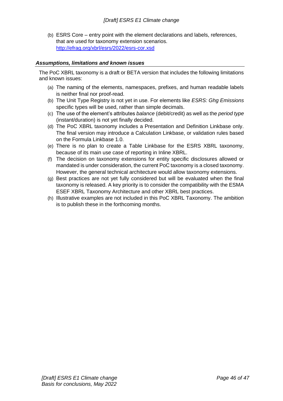(b) ESRS Core – entry point with the element declarations and labels, references, that are used for taxonomy extension scenarios. <http://efrag.org/xbrl/esrs/2022/esrs-cor.xsd>

#### *Assumptions, limitations and known issues*

The PoC XBRL taxonomy is a draft or BETA version that includes the following limitations and known issues:

- (a) The naming of the elements, namespaces, prefixes, and human readable labels is neither final nor proof-read.
- (b) The Unit Type Registry is not yet in use. For elements like *ESRS: Ghg Emissions* specific types will be used, rather than simple decimals.
- (c) The use of the element's attributes *balance* (debit/credit) as well as the *period type* (instant/duration) is not yet finally decided.
- (d) The PoC XBRL taxonomy includes a Presentation and Definition Linkbase only. The final version may introduce a Calculation Linkbase, or validation rules based on the Formula Linkbase 1.0.
- (e) There is no plan to create a Table Linkbase for the ESRS XBRL taxonomy, because of its main use case of reporting in Inline XBRL.
- (f) The decision on taxonomy extensions for entity specific disclosures allowed or mandated is under consideration, the current PoC taxonomy is a closed taxonomy. However, the general technical architecture would allow taxonomy extensions.
- (g) Best practices are not yet fully considered but will be evaluated when the final taxonomy is released. A key priority is to consider the compatibility with the ESMA ESEF XBRL Taxonomy Architecture and other XBRL best practices.
- (h) Illustrative examples are not included in this PoC XBRL Taxonomy. The ambition is to publish these in the forthcoming months.